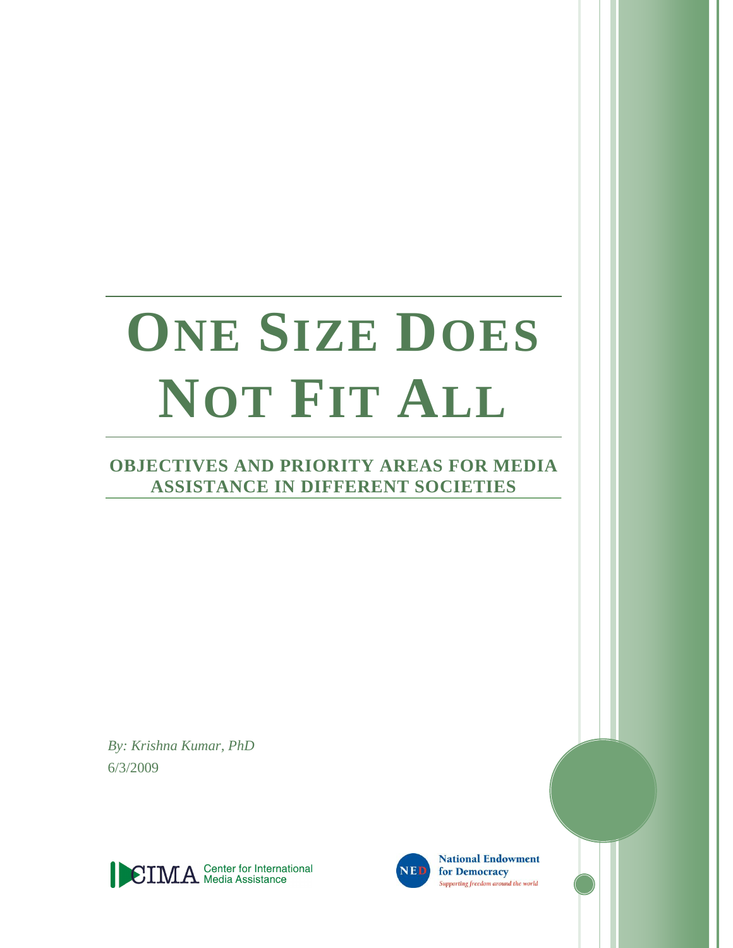# **ONE SIZE DOES NOT FIT ALL**

## **OBJECTIVES AND PRIORITY AREAS FOR MEDIA ASSISTANCE IN DIFFERENT SOCIETIES**

*By: Krishna Kumar, PhD* 6/3/2009





**National Endowment** for Democracy Supporting freedom around the world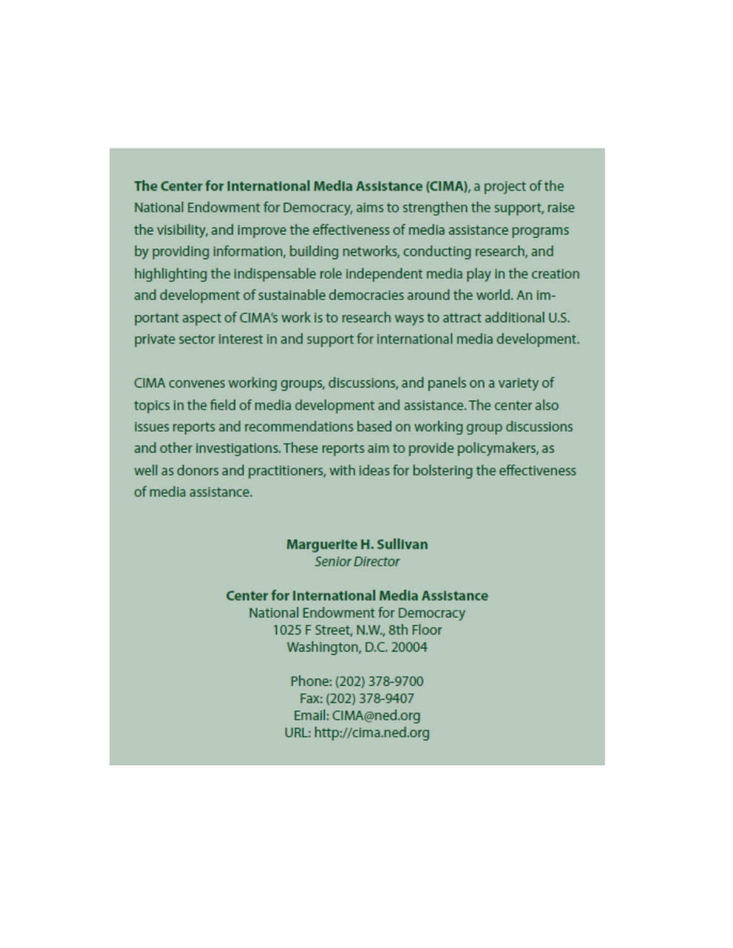The Center for International Media Assistance (CIMA), a project of the National Endowment for Democracy, aims to strengthen the support, raise the visibility, and improve the effectiveness of media assistance programs by providing information, building networks, conducting research, and highlighting the indispensable role independent media play in the creation and development of sustainable democracies around the world. An important aspect of CIMA's work is to research ways to attract additional U.S. private sector interest in and support for international media development.

CIMA convenes working groups, discussions, and panels on a variety of topics in the field of media development and assistance. The center also issues reports and recommendations based on working group discussions and other investigations. These reports aim to provide policymakers, as well as donors and practitioners, with ideas for bolstering the effectiveness of media assistance.

> **Marguerite H. Sullivan Senior Director**

**Center for International Media Assistance National Endowment for Democracy** 1025 F Street, N.W., 8th Floor Washington, D.C. 20004

> Phone: (202) 378-9700 Fax: (202) 378-9407 Email: CIMA@ned.org URL: http://cima.ned.org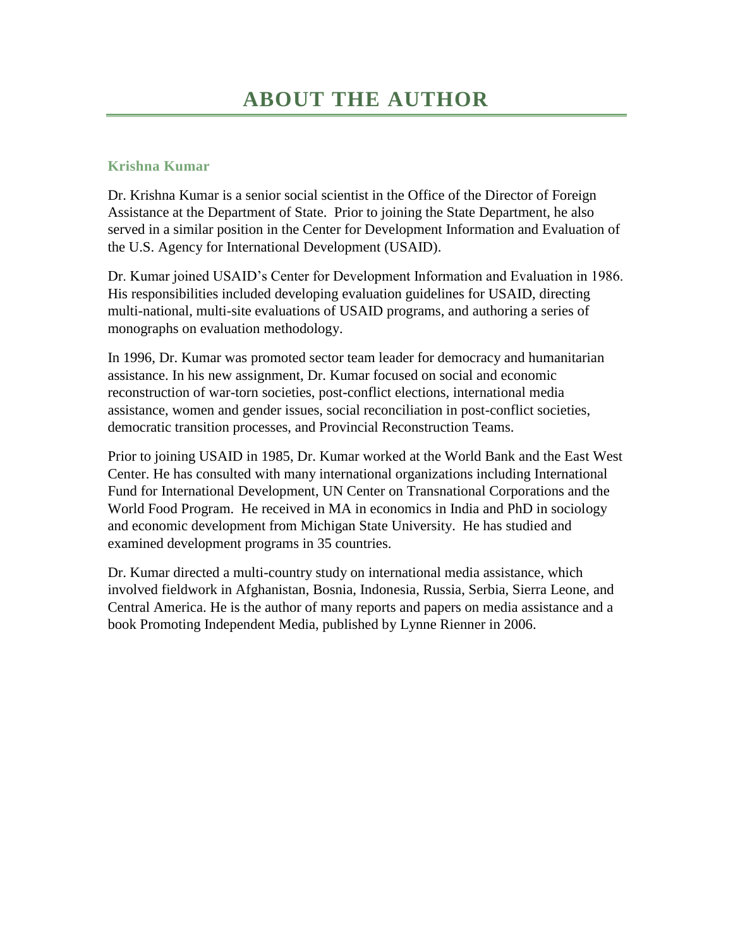## **Krishna Kumar**

Dr. Krishna Kumar is a senior social scientist in the Office of the Director of Foreign Assistance at the Department of State. Prior to joining the State Department, he also served in a similar position in the Center for Development Information and Evaluation of the U.S. Agency for International Development (USAID).

Dr. Kumar joined USAID's Center for Development Information and Evaluation in 1986. His responsibilities included developing evaluation guidelines for USAID, directing multi-national, multi-site evaluations of USAID programs, and authoring a series of monographs on evaluation methodology.

In 1996, Dr. Kumar was promoted sector team leader for democracy and humanitarian assistance. In his new assignment, Dr. Kumar focused on social and economic reconstruction of war-torn societies, post-conflict elections, international media assistance, women and gender issues, social reconciliation in post-conflict societies, democratic transition processes, and Provincial Reconstruction Teams.

Prior to joining USAID in 1985, Dr. Kumar worked at the World Bank and the East West Center. He has consulted with many international organizations including International Fund for International Development, UN Center on Transnational Corporations and the World Food Program. He received in MA in economics in India and PhD in sociology and economic development from Michigan State University. He has studied and examined development programs in 35 countries.

Dr. Kumar directed a multi-country study on international media assistance, which involved fieldwork in Afghanistan, Bosnia, Indonesia, Russia, Serbia, Sierra Leone, and Central America. He is the author of many reports and papers on media assistance and a book Promoting Independent Media, published by Lynne Rienner in 2006.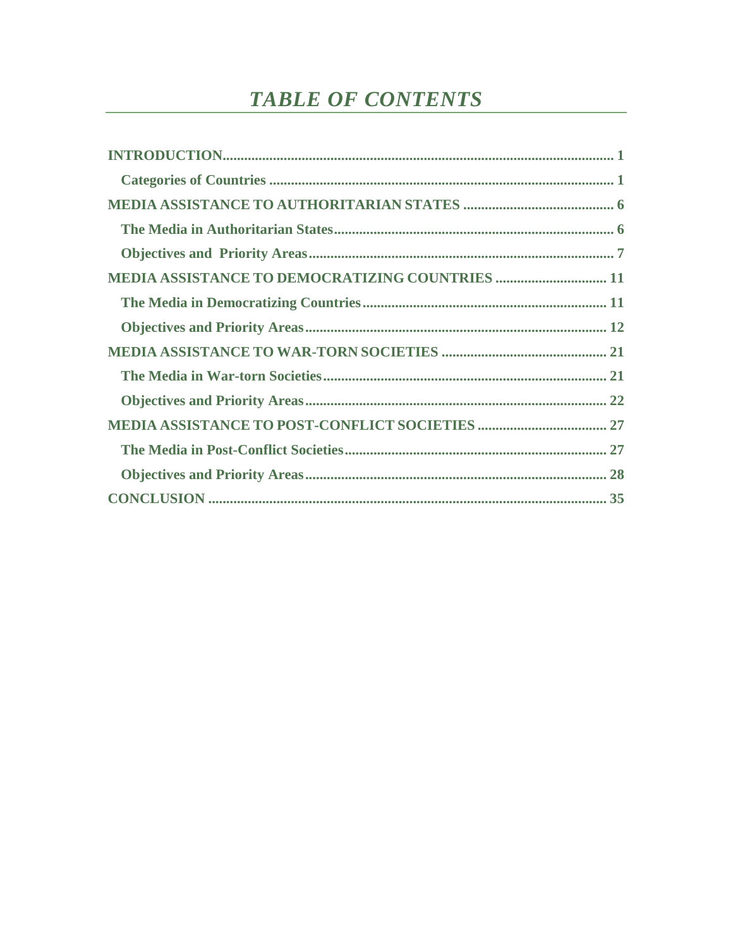# **TABLE OF CONTENTS**

| <b>MEDIA ASSISTANCE TO DEMOCRATIZING COUNTRIES  11</b> |
|--------------------------------------------------------|
|                                                        |
|                                                        |
|                                                        |
|                                                        |
|                                                        |
|                                                        |
|                                                        |
|                                                        |
|                                                        |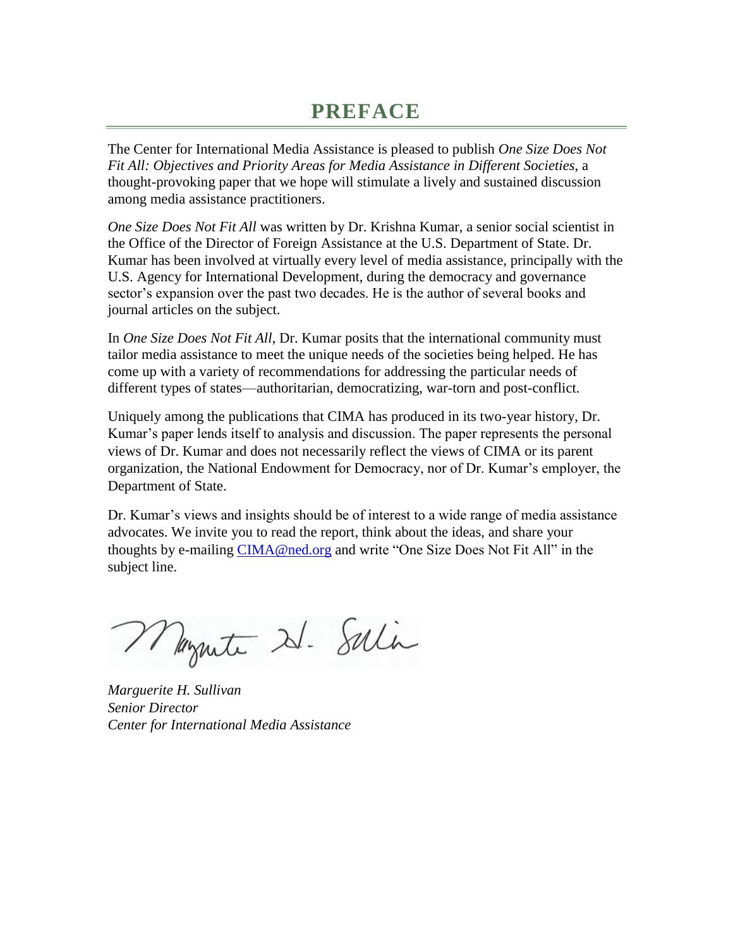## **PREFACE**

The Center for International Media Assistance is pleased to publish *One Size Does Not Fit All: Objectives and Priority Areas for Media Assistance in Different Societies*, a thought-provoking paper that we hope will stimulate a lively and sustained discussion among media assistance practitioners.

*One Size Does Not Fit All* was written by Dr. Krishna Kumar, a senior social scientist in the Office of the Director of Foreign Assistance at the U.S. Department of State. Dr. Kumar has been involved at virtually every level of media assistance, principally with the U.S. Agency for International Development, during the democracy and governance sector's expansion over the past two decades. He is the author of several books and journal articles on the subject.

In *One Size Does Not Fit All*, Dr. Kumar posits that the international community must tailor media assistance to meet the unique needs of the societies being helped. He has come up with a variety of recommendations for addressing the particular needs of different types of states—authoritarian, democratizing, war-torn and post-conflict.

Uniquely among the publications that CIMA has produced in its two-year history, Dr. Kumar's paper lends itself to analysis and discussion. The paper represents the personal views of Dr. Kumar and does not necessarily reflect the views of CIMA or its parent organization, the National Endowment for Democracy, nor of Dr. Kumar's employer, the Department of State.

Dr. Kumar's views and insights should be of interest to a wide range of media assistance advocates. We invite you to read the report, think about the ideas, and share your thoughts by e-mailing [CIMA@ned.org](mailto:CIMA@ned.org) and write "One Size Does Not Fit All" in the subject line.

Mazute 21. Salin

*Marguerite H. Sullivan Senior Director Center for International Media Assistance*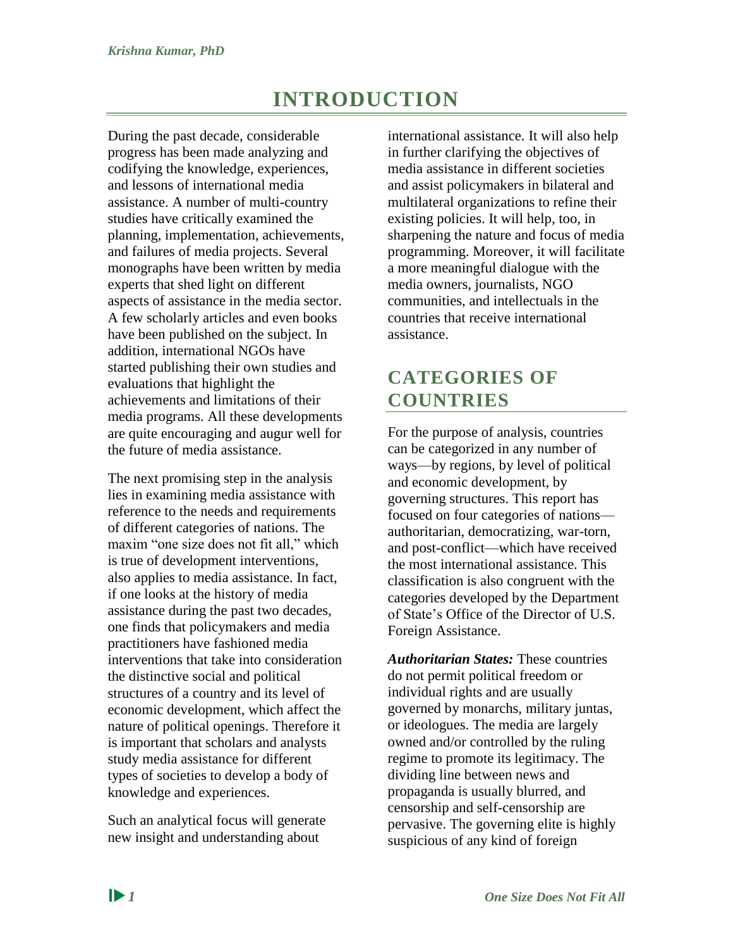## **INTRODUCTION**

<span id="page-7-0"></span>During the past decade, considerable progress has been made analyzing and codifying the knowledge, experiences, and lessons of international media assistance. A number of multi-country studies have critically examined the planning, implementation, achievements, and failures of media projects. Several monographs have been written by media experts that shed light on different aspects of assistance in the media sector. A few scholarly articles and even books have been published on the subject. In addition, international NGOs have started publishing their own studies and evaluations that highlight the achievements and limitations of their media programs. All these developments are quite encouraging and augur well for the future of media assistance.

The next promising step in the analysis lies in examining media assistance with reference to the needs and requirements of different categories of nations. The maxim "one size does not fit all," which is true of development interventions, also applies to media assistance. In fact, if one looks at the history of media assistance during the past two decades, one finds that policymakers and media practitioners have fashioned media interventions that take into consideration the distinctive social and political structures of a country and its level of economic development, which affect the nature of political openings. Therefore it is important that scholars and analysts study media assistance for different types of societies to develop a body of knowledge and experiences.

Such an analytical focus will generate new insight and understanding about

international assistance. It will also help in further clarifying the objectives of media assistance in different societies and assist policymakers in bilateral and multilateral organizations to refine their existing policies. It will help, too, in sharpening the nature and focus of media programming. Moreover, it will facilitate a more meaningful dialogue with the media owners, journalists, NGO communities, and intellectuals in the countries that receive international assistance.

## <span id="page-7-1"></span>**CATEGORIES OF COUNTRIES**

For the purpose of analysis, countries can be categorized in any number of ways—by regions, by level of political and economic development, by governing structures. This report has focused on four categories of nations authoritarian, democratizing, war-torn, and post-conflict—which have received the most international assistance. This classification is also congruent with the categories developed by the Department of State's Office of the Director of U.S. Foreign Assistance.

*Authoritarian States:* These countries do not permit political freedom or individual rights and are usually governed by monarchs, military juntas, or ideologues. The media are largely owned and/or controlled by the ruling regime to promote its legitimacy. The dividing line between news and propaganda is usually blurred, and censorship and self-censorship are pervasive. The governing elite is highly suspicious of any kind of foreign

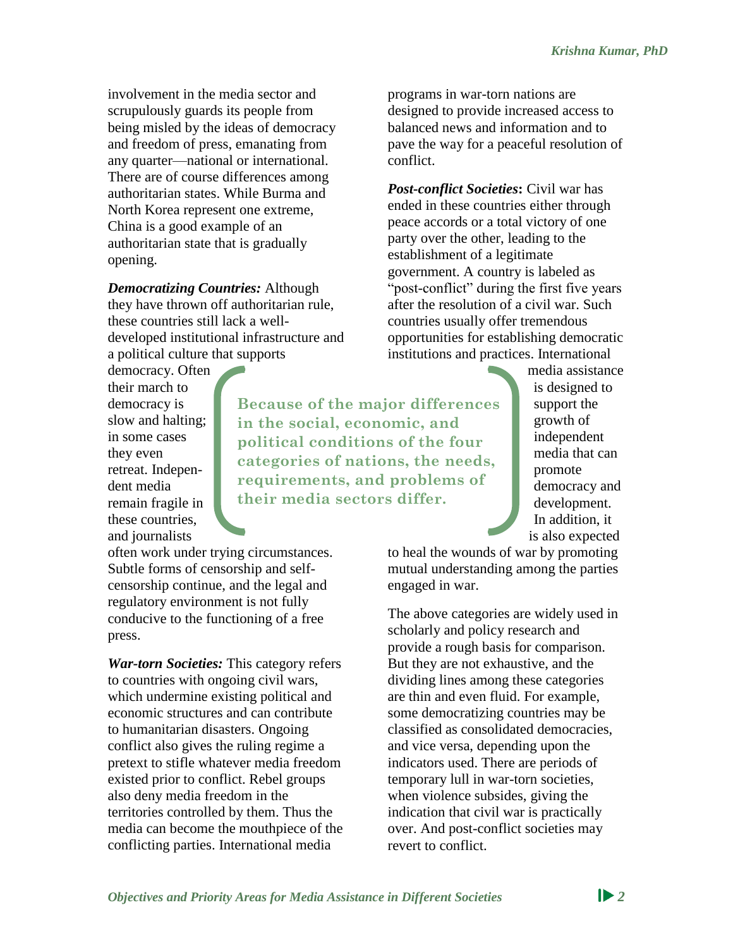involvement in the media sector and scrupulously guards its people from being misled by the ideas of democracy and freedom of press, emanating from any quarter—national or international. There are of course differences among authoritarian states. While Burma and North Korea represent one extreme, China is a good example of an authoritarian state that is gradually opening.

*Democratizing Countries:* Although they have thrown off authoritarian rule, these countries still lack a welldeveloped institutional infrastructure and a political culture that supports

democracy. Often their march to democracy is slow and halting; in some cases they even retreat. Independent media remain fragile in these countries, and journalists

**Because of the major differences in the social, economic, and political conditions of the four categories of nations, the needs, requirements, and problems of their media sectors differ.**

programs in war-torn nations are designed to provide increased access to balanced news and information and to pave the way for a peaceful resolution of conflict.

*Post-conflict Societies***:** Civil war has ended in these countries either through peace accords or a total victory of one party over the other, leading to the establishment of a legitimate government. A country is labeled as "post-conflict" during the first five years after the resolution of a civil war. Such countries usually offer tremendous opportunities for establishing democratic institutions and practices. International

> media assistance is designed to support the growth of independent media that can promote democracy and development. In addition, it is also expected

to heal the wounds of war by promoting mutual understanding among the parties engaged in war.

The above categories are widely used in scholarly and policy research and provide a rough basis for comparison. But they are not exhaustive, and the dividing lines among these categories are thin and even fluid. For example, some democratizing countries may be classified as consolidated democracies, and vice versa, depending upon the indicators used. There are periods of temporary lull in war-torn societies, when violence subsides, giving the indication that civil war is practically over. And post-conflict societies may revert to conflict.

often work under trying circumstances. Subtle forms of censorship and selfcensorship continue, and the legal and regulatory environment is not fully conducive to the functioning of a free press.

*War-torn Societies:* This category refers to countries with ongoing civil wars, which undermine existing political and economic structures and can contribute to humanitarian disasters. Ongoing conflict also gives the ruling regime a pretext to stifle whatever media freedom existed prior to conflict. Rebel groups also deny media freedom in the territories controlled by them. Thus the media can become the mouthpiece of the conflicting parties. International media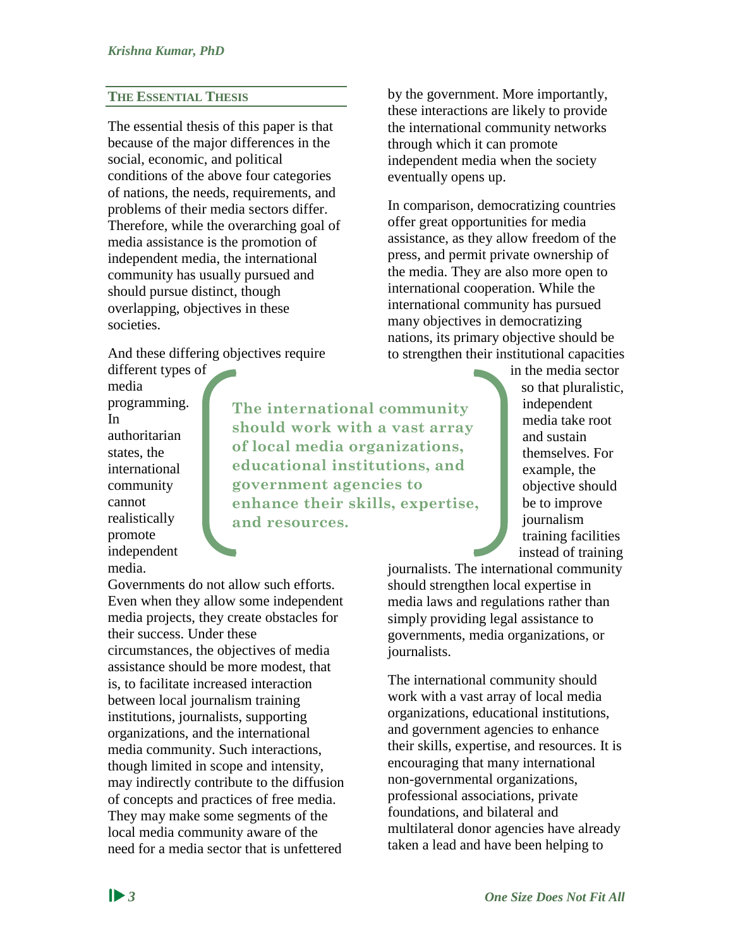#### **THE ESSENTIAL THESIS**

The essential thesis of this paper is that because of the major differences in the social, economic, and political conditions of the above four categories of nations, the needs, requirements, and problems of their media sectors differ. Therefore, while the overarching goal of media assistance is the promotion of independent media, the international community has usually pursued and should pursue distinct, though overlapping, objectives in these societies.

And these differing objectives require different types of

media programming. In authoritarian states, the international community cannot realistically promote independent media.

**The international community should work with a vast array of local media organizations, educational institutions, and government agencies to enhance their skills, expertise, and resources.**

Governments do not allow such efforts. Even when they allow some independent media projects, they create obstacles for their success. Under these circumstances, the objectives of media assistance should be more modest, that is, to facilitate increased interaction between local journalism training institutions, journalists, supporting organizations, and the international media community. Such interactions, though limited in scope and intensity, may indirectly contribute to the diffusion of concepts and practices of free media. They may make some segments of the local media community aware of the need for a media sector that is unfettered

by the government. More importantly, these interactions are likely to provide the international community networks through which it can promote independent media when the society eventually opens up.

In comparison, democratizing countries offer great opportunities for media assistance, as they allow freedom of the press, and permit private ownership of the media. They are also more open to international cooperation. While the international community has pursued many objectives in democratizing nations, its primary objective should be to strengthen their institutional capacities

> in the media sector so that pluralistic, independent media take root and sustain themselves. For example, the objective should be to improve journalism training facilities instead of training

journalists. The international community should strengthen local expertise in media laws and regulations rather than simply providing legal assistance to governments, media organizations, or journalists.

The international community should work with a vast array of local media organizations, educational institutions, and government agencies to enhance their skills, expertise, and resources. It is encouraging that many international non-governmental organizations, professional associations, private foundations, and bilateral and multilateral donor agencies have already taken a lead and have been helping to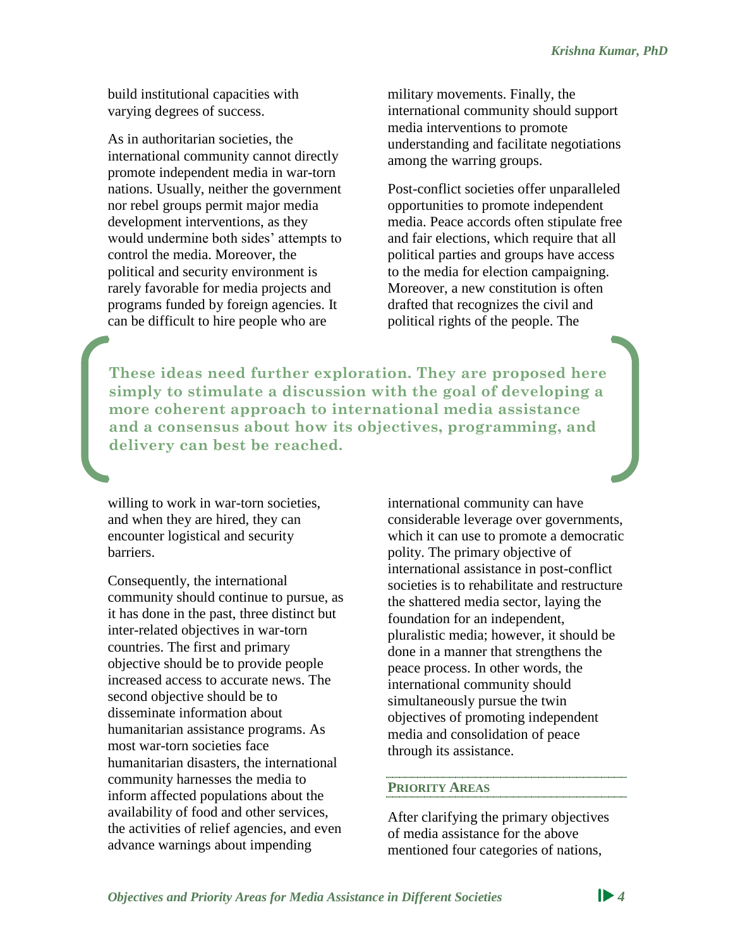build institutional capacities with varying degrees of success.

As in authoritarian societies, the international community cannot directly promote independent media in war-torn nations. Usually, neither the government nor rebel groups permit major media development interventions, as they would undermine both sides' attempts to control the media. Moreover, the political and security environment is rarely favorable for media projects and programs funded by foreign agencies. It can be difficult to hire people who are

military movements. Finally, the international community should support media interventions to promote understanding and facilitate negotiations among the warring groups.

Post-conflict societies offer unparalleled opportunities to promote independent media. Peace accords often stipulate free and fair elections, which require that all political parties and groups have access to the media for election campaigning. Moreover, a new constitution is often drafted that recognizes the civil and political rights of the people. The

**These ideas need further exploration. They are proposed here simply to stimulate a discussion with the goal of developing a more coherent approach to international media assistance and a consensus about how its objectives, programming, and delivery can best be reached.**

willing to work in war-torn societies, and when they are hired, they can encounter logistical and security barriers.

Consequently, the international community should continue to pursue, as it has done in the past, three distinct but inter-related objectives in war-torn countries. The first and primary objective should be to provide people increased access to accurate news. The second objective should be to disseminate information about humanitarian assistance programs. As most war-torn societies face humanitarian disasters, the international community harnesses the media to inform affected populations about the availability of food and other services, the activities of relief agencies, and even advance warnings about impending

international community can have considerable leverage over governments, which it can use to promote a democratic polity. The primary objective of international assistance in post-conflict societies is to rehabilitate and restructure the shattered media sector, laying the foundation for an independent, pluralistic media; however, it should be done in a manner that strengthens the peace process. In other words, the international community should simultaneously pursue the twin objectives of promoting independent media and consolidation of peace through its assistance.

## **PRIORITY AREAS**

After clarifying the primary objectives of media assistance for the above mentioned four categories of nations,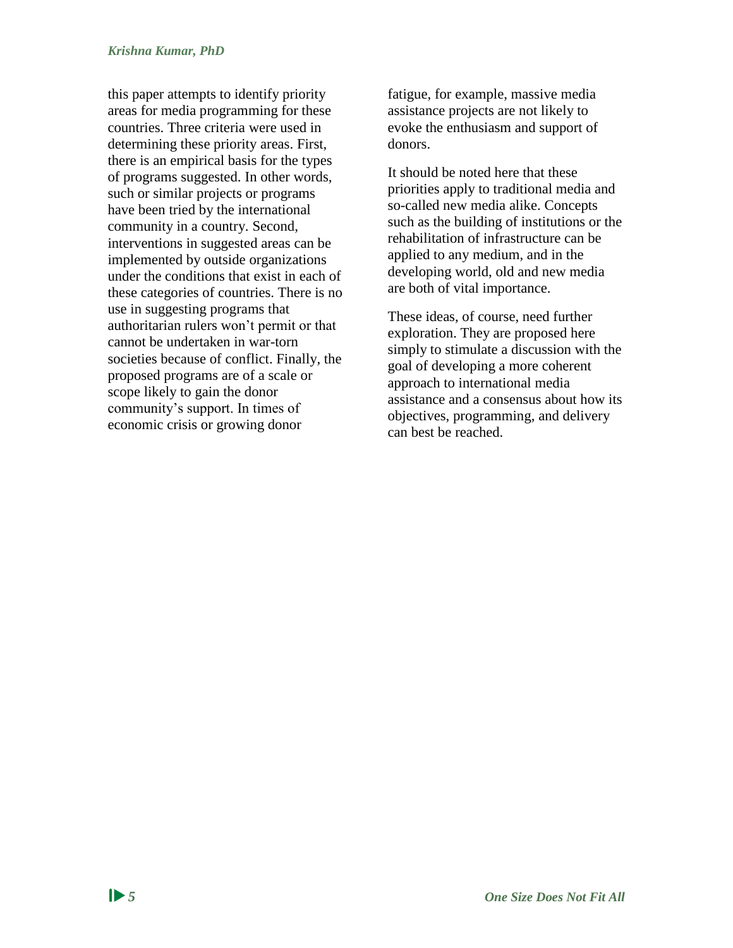this paper attempts to identify priority areas for media programming for these countries. Three criteria were used in determining these priority areas. First, there is an empirical basis for the types of programs suggested. In other words, such or similar projects or programs have been tried by the international community in a country. Second, interventions in suggested areas can be implemented by outside organizations under the conditions that exist in each of these categories of countries. There is no use in suggesting programs that authoritarian rulers won't permit or that cannot be undertaken in war-torn societies because of conflict. Finally, the proposed programs are of a scale or scope likely to gain the donor community's support. In times of economic crisis or growing donor

fatigue, for example, massive media assistance projects are not likely to evoke the enthusiasm and support of donors.

It should be noted here that these priorities apply to traditional media and so-called new media alike. Concepts such as the building of institutions or the rehabilitation of infrastructure can be applied to any medium, and in the developing world, old and new media are both of vital importance.

These ideas, of course, need further exploration. They are proposed here simply to stimulate a discussion with the goal of developing a more coherent approach to international media assistance and a consensus about how its objectives, programming, and delivery can best be reached.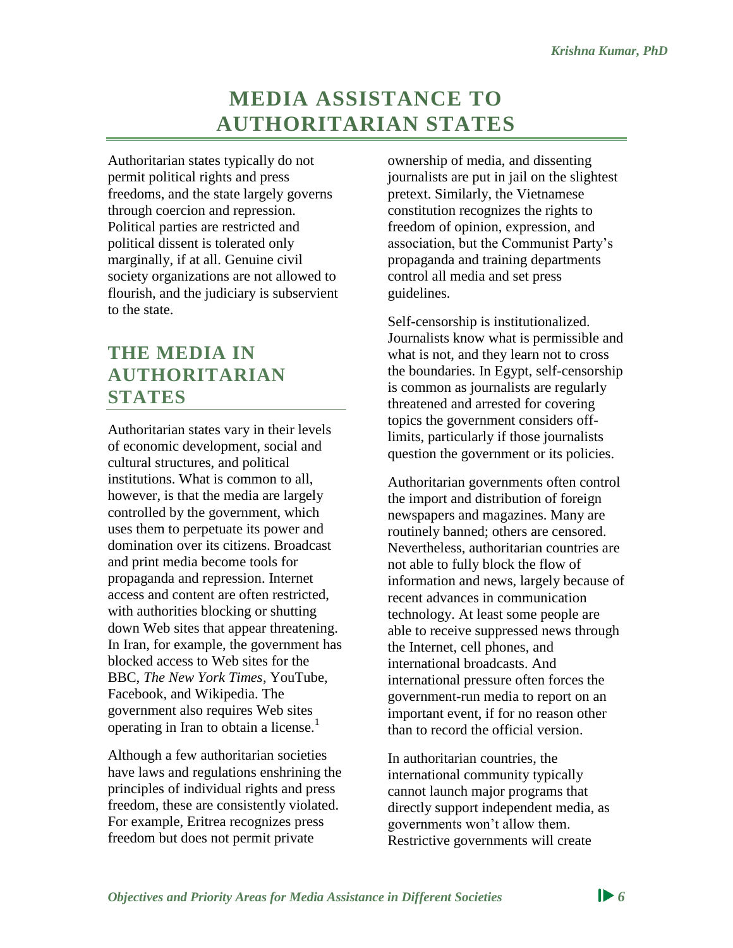# **MEDIA ASSISTANCE TO AUTHORITARIAN STATES**

<span id="page-12-0"></span>Authoritarian states typically do not permit political rights and press freedoms, and the state largely governs through coercion and repression. Political parties are restricted and political dissent is tolerated only marginally, if at all. Genuine civil society organizations are not allowed to flourish, and the judiciary is subservient to the state.

## <span id="page-12-1"></span>**THE MEDIA IN AUTHORITARIAN STATES**

Authoritarian states vary in their levels of economic development, social and cultural structures, and political institutions. What is common to all, however, is that the media are largely controlled by the government, which uses them to perpetuate its power and domination over its citizens. Broadcast and print media become tools for propaganda and repression. Internet access and content are often restricted, with authorities blocking or shutting down Web sites that appear threatening. In Iran, for example, the government has blocked access to Web sites for the BBC, *The New York Times*, YouTube, Facebook, and Wikipedia. The government also requires Web sites operating in Iran to obtain a license.<sup>1</sup>

Although a few authoritarian societies have laws and regulations enshrining the principles of individual rights and press freedom, these are consistently violated. For example, Eritrea recognizes press freedom but does not permit private

ownership of media, and dissenting journalists are put in jail on the slightest pretext. Similarly, the Vietnamese constitution recognizes the rights to freedom of opinion, expression, and association, but the Communist Party's propaganda and training departments control all media and set press guidelines.

Self-censorship is institutionalized. Journalists know what is permissible and what is not, and they learn not to cross the boundaries. In Egypt, self-censorship is common as journalists are regularly threatened and arrested for covering topics the government considers offlimits, particularly if those journalists question the government or its policies.

Authoritarian governments often control the import and distribution of foreign newspapers and magazines. Many are routinely banned; others are censored. Nevertheless, authoritarian countries are not able to fully block the flow of information and news, largely because of recent advances in communication technology. At least some people are able to receive suppressed news through the Internet, cell phones, and international broadcasts. And international pressure often forces the government-run media to report on an important event, if for no reason other than to record the official version.

In authoritarian countries, the international community typically cannot launch major programs that directly support independent media, as governments won't allow them. Restrictive governments will create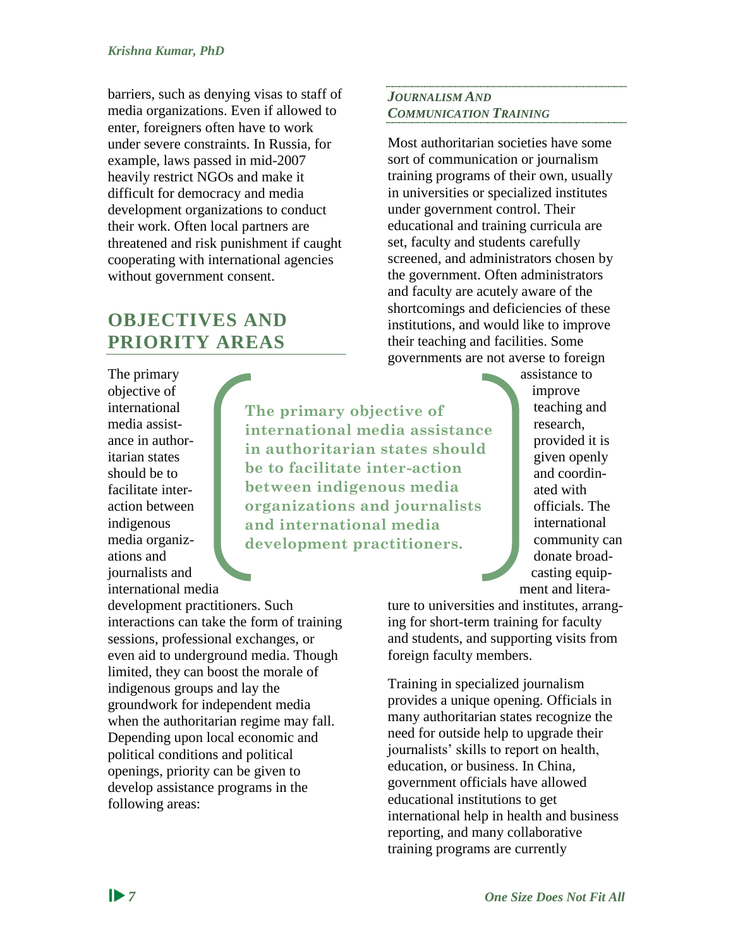barriers, such as denying visas to staff of media organizations. Even if allowed to enter, foreigners often have to work under severe constraints. In Russia, for example, laws passed in mid-2007 heavily restrict NGOs and make it difficult for democracy and media development organizations to conduct their work. Often local partners are threatened and risk punishment if caught cooperating with international agencies without government consent.

## <span id="page-13-0"></span>**OBJECTIVES AND PRIORITY AREAS**

The primary objective of international media assistance in authoritarian states should be to facilitate interaction between indigenous media organizations and journalists and international media

**The primary objective of international media assistance in authoritarian states should be to facilitate inter-action between indigenous media organizations and journalists and international media development practitioners.**

development practitioners. Such interactions can take the form of training sessions, professional exchanges, or even aid to underground media. Though limited, they can boost the morale of indigenous groups and lay the groundwork for independent media when the authoritarian regime may fall. Depending upon local economic and political conditions and political openings, priority can be given to develop assistance programs in the following areas:

## *JOURNALISM AND COMMUNICATION TRAINING*

Most authoritarian societies have some sort of communication or journalism training programs of their own, usually in universities or specialized institutes under government control. Their educational and training curricula are set, faculty and students carefully screened, and administrators chosen by the government. Often administrators and faculty are acutely aware of the shortcomings and deficiencies of these institutions, and would like to improve their teaching and facilities. Some governments are not averse to foreign

assistance to improve teaching and research, provided it is given openly and coordinated with officials. The international community can donate broadcasting equipment and litera-

ture to universities and institutes, arranging for short-term training for faculty and students, and supporting visits from foreign faculty members.

Training in specialized journalism provides a unique opening. Officials in many authoritarian states recognize the need for outside help to upgrade their journalists' skills to report on health, education, or business. In China, government officials have allowed educational institutions to get international help in health and business reporting, and many collaborative training programs are currently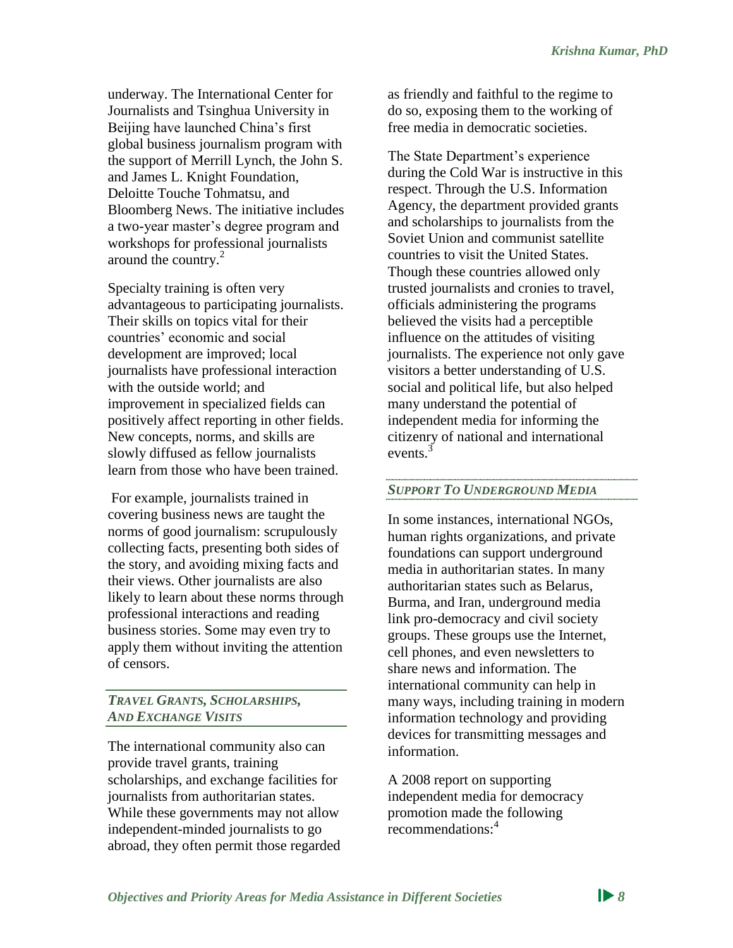underway. The International Center for Journalists and Tsinghua University in Beijing have launched China's first global business journalism program with the support of Merrill Lynch, the John S. and James L. Knight Foundation, Deloitte Touche Tohmatsu, and Bloomberg News. The initiative includes a two-year master's degree program and workshops for professional journalists around the country.<sup>2</sup>

Specialty training is often very advantageous to participating journalists. Their skills on topics vital for their countries' economic and social development are improved; local journalists have professional interaction with the outside world; and improvement in specialized fields can positively affect reporting in other fields. New concepts, norms, and skills are slowly diffused as fellow journalists learn from those who have been trained.

For example, journalists trained in covering business news are taught the norms of good journalism: scrupulously collecting facts, presenting both sides of the story, and avoiding mixing facts and their views. Other journalists are also likely to learn about these norms through professional interactions and reading business stories. Some may even try to apply them without inviting the attention of censors.

#### *TRAVEL GRANTS, SCHOLARSHIPS, AND EXCHANGE VISITS*

The international community also can provide travel grants, training scholarships, and exchange facilities for journalists from authoritarian states. While these governments may not allow independent-minded journalists to go abroad, they often permit those regarded as friendly and faithful to the regime to do so, exposing them to the working of free media in democratic societies.

The State Department's experience during the Cold War is instructive in this respect. Through the U.S. Information Agency, the department provided grants and scholarships to journalists from the Soviet Union and communist satellite countries to visit the United States. Though these countries allowed only trusted journalists and cronies to travel, officials administering the programs believed the visits had a perceptible influence on the attitudes of visiting journalists. The experience not only gave visitors a better understanding of U.S. social and political life, but also helped many understand the potential of independent media for informing the citizenry of national and international events<sup>3</sup>

## *SUPPORT TO UNDERGROUND MEDIA*

In some instances, international NGOs, human rights organizations, and private foundations can support underground media in authoritarian states. In many authoritarian states such as Belarus, Burma, and Iran, underground media link pro-democracy and civil society groups. These groups use the Internet, cell phones, and even newsletters to share news and information. The international community can help in many ways, including training in modern information technology and providing devices for transmitting messages and information.

A 2008 report on supporting independent media for democracy promotion made the following recommendations:<sup>4</sup>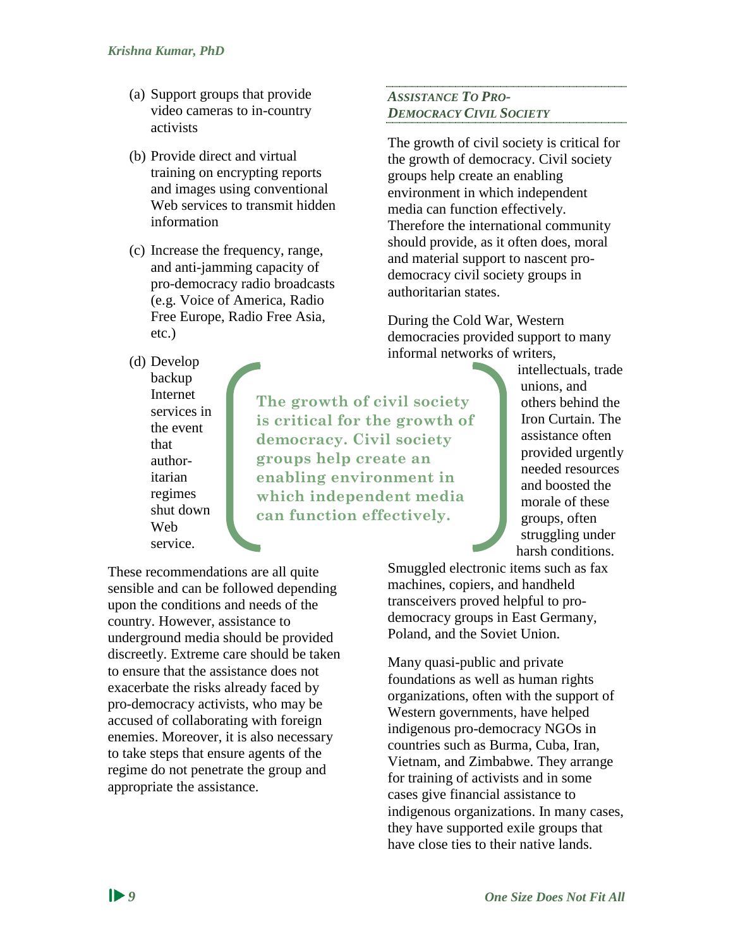- (a) Support groups that provide video cameras to in-country activists
- (b) Provide direct and virtual training on encrypting reports and images using conventional Web services to transmit hidden information
- (c) Increase the frequency, range, and anti-jamming capacity of pro-democracy radio broadcasts (e.g. Voice of America, Radio Free Europe, Radio Free Asia, etc.)
- (d) Develop backup Internet services in the event that authoritarian regimes shut down Web

service.

**The growth of civil society is critical for the growth of democracy. Civil society groups help create an enabling environment in which independent media can function effectively.**

*ASSISTANCE TO PRO-DEMOCRACY CIVIL SOCIETY* 

The growth of civil society is critical for the growth of democracy. Civil society groups help create an enabling environment in which independent media can function effectively. Therefore the international community should provide, as it often does, moral and material support to nascent prodemocracy civil society groups in authoritarian states.

During the Cold War, Western democracies provided support to many informal networks of writers,

> intellectuals, trade unions, and others behind the Iron Curtain. The assistance often provided urgently needed resources and boosted the morale of these groups, often struggling under harsh conditions.

These recommendations are all quite sensible and can be followed depending upon the conditions and needs of the country. However, assistance to underground media should be provided discreetly. Extreme care should be taken to ensure that the assistance does not exacerbate the risks already faced by pro-democracy activists, who may be accused of collaborating with foreign enemies. Moreover, it is also necessary to take steps that ensure agents of the regime do not penetrate the group and appropriate the assistance.

Smuggled electronic items such as fax machines, copiers, and handheld transceivers proved helpful to prodemocracy groups in East Germany, Poland, and the Soviet Union.

Many quasi-public and private foundations as well as human rights organizations, often with the support of Western governments, have helped indigenous pro-democracy NGOs in countries such as Burma, Cuba, Iran, Vietnam, and Zimbabwe. They arrange for training of activists and in some cases give financial assistance to indigenous organizations. In many cases, they have supported exile groups that have close ties to their native lands.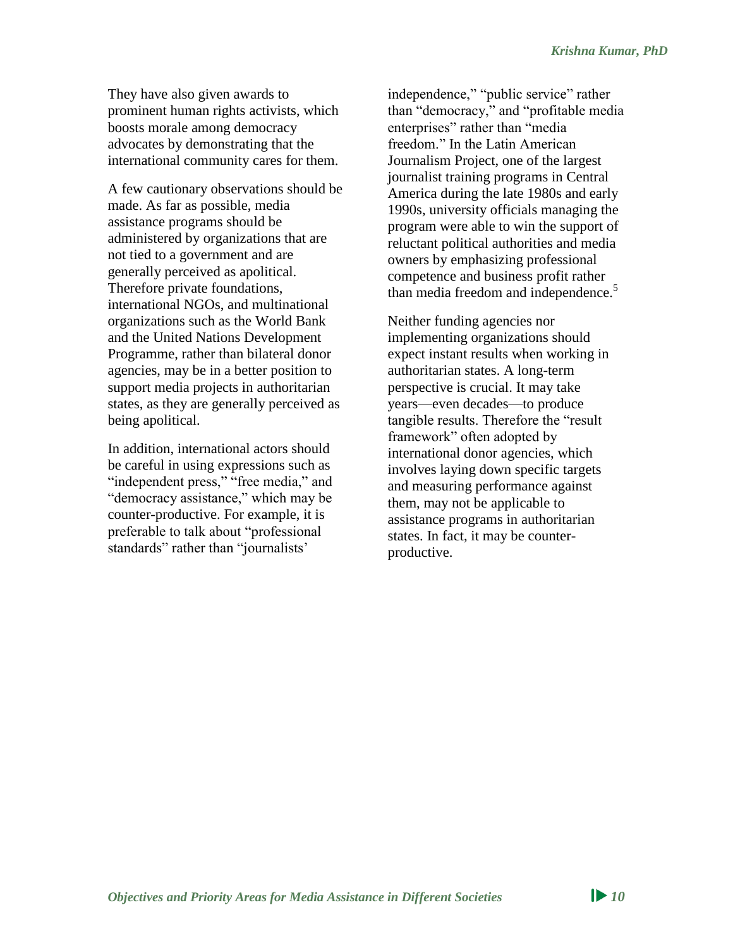They have also given awards to prominent human rights activists, which boosts morale among democracy advocates by demonstrating that the international community cares for them.

A few cautionary observations should be made. As far as possible, media assistance programs should be administered by organizations that are not tied to a government and are generally perceived as apolitical. Therefore private foundations, international NGOs, and multinational organizations such as the World Bank and the United Nations Development Programme, rather than bilateral donor agencies, may be in a better position to support media projects in authoritarian states, as they are generally perceived as being apolitical.

In addition, international actors should be careful in using expressions such as "independent press," "free media," and "democracy assistance," which may be counter-productive. For example, it is preferable to talk about "professional standards" rather than "journalists'

independence," "public service" rather than "democracy," and "profitable media enterprises" rather than "media freedom." In the Latin American Journalism Project, one of the largest journalist training programs in Central America during the late 1980s and early 1990s, university officials managing the program were able to win the support of reluctant political authorities and media owners by emphasizing professional competence and business profit rather than media freedom and independence.<sup>5</sup>

Neither funding agencies nor implementing organizations should expect instant results when working in authoritarian states. A long-term perspective is crucial. It may take years—even decades—to produce tangible results. Therefore the "result framework" often adopted by international donor agencies, which involves laying down specific targets and measuring performance against them, may not be applicable to assistance programs in authoritarian states. In fact, it may be counterproductive.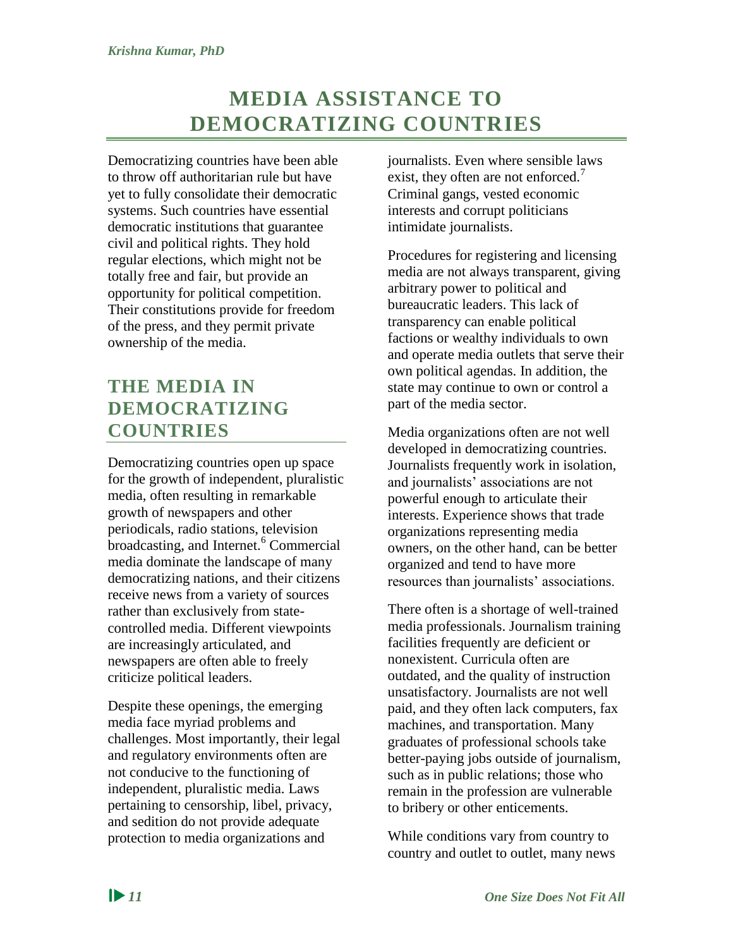# **MEDIA ASSISTANCE TO DEMOCRATIZING COUNTRIES**

<span id="page-17-0"></span>Democratizing countries have been able to throw off authoritarian rule but have yet to fully consolidate their democratic systems. Such countries have essential democratic institutions that guarantee civil and political rights. They hold regular elections, which might not be totally free and fair, but provide an opportunity for political competition. Their constitutions provide for freedom of the press, and they permit private ownership of the media.

## <span id="page-17-1"></span>**THE MEDIA IN DEMOCRATIZING COUNTRIES**

Democratizing countries open up space for the growth of independent, pluralistic media, often resulting in remarkable growth of newspapers and other periodicals, radio stations, television broadcasting, and Internet.<sup>6</sup> Commercial media dominate the landscape of many democratizing nations, and their citizens receive news from a variety of sources rather than exclusively from statecontrolled media. Different viewpoints are increasingly articulated, and newspapers are often able to freely criticize political leaders.

Despite these openings, the emerging media face myriad problems and challenges. Most importantly, their legal and regulatory environments often are not conducive to the functioning of independent, pluralistic media. Laws pertaining to censorship, libel, privacy, and sedition do not provide adequate protection to media organizations and

journalists. Even where sensible laws exist, they often are not enforced.<sup>7</sup> Criminal gangs, vested economic interests and corrupt politicians intimidate journalists.

Procedures for registering and licensing media are not always transparent, giving arbitrary power to political and bureaucratic leaders. This lack of transparency can enable political factions or wealthy individuals to own and operate media outlets that serve their own political agendas. In addition, the state may continue to own or control a part of the media sector.

Media organizations often are not well developed in democratizing countries. Journalists frequently work in isolation, and journalists' associations are not powerful enough to articulate their interests. Experience shows that trade organizations representing media owners, on the other hand, can be better organized and tend to have more resources than journalists' associations.

There often is a shortage of well-trained media professionals. Journalism training facilities frequently are deficient or nonexistent. Curricula often are outdated, and the quality of instruction unsatisfactory. Journalists are not well paid, and they often lack computers, fax machines, and transportation. Many graduates of professional schools take better-paying jobs outside of journalism, such as in public relations; those who remain in the profession are vulnerable to bribery or other enticements.

While conditions vary from country to country and outlet to outlet, many news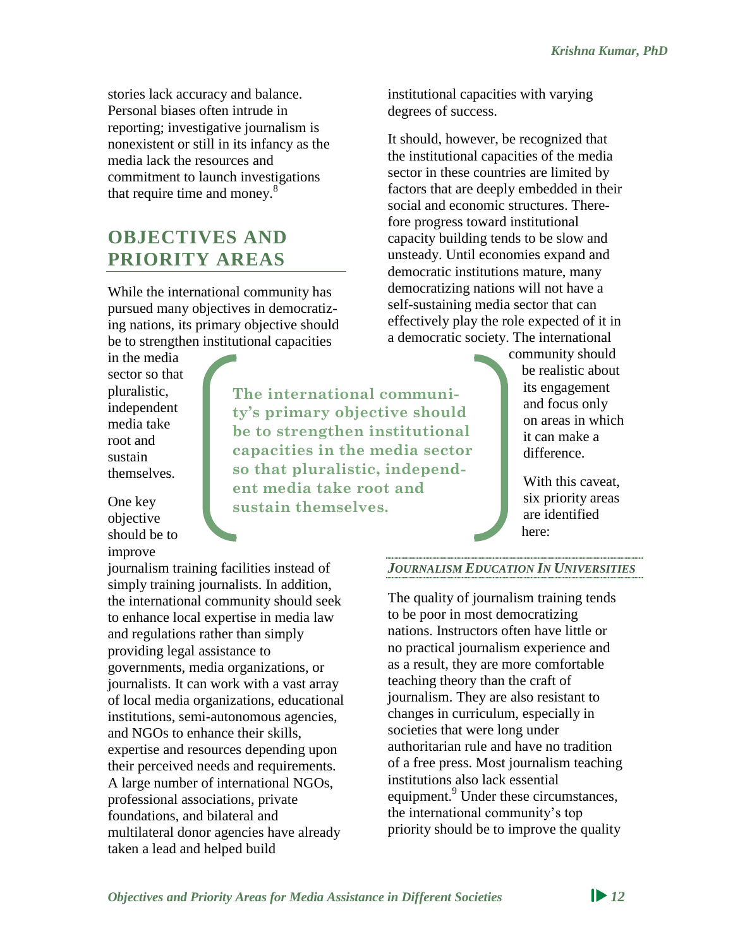stories lack accuracy and balance. Personal biases often intrude in reporting; investigative journalism is nonexistent or still in its infancy as the media lack the resources and commitment to launch investigations that require time and money.<sup>8</sup>

## <span id="page-18-0"></span>**OBJECTIVES AND PRIORITY AREAS**

While the international community has pursued many objectives in democratizing nations, its primary objective should be to strengthen institutional capacities

in the media sector so that pluralistic, independent media take root and sustain themselves.

**ty's primary objective should be to strengthen institutional capacities in the media sector so that pluralistic, independent media take root and sustain themselves.**

**The international communi-**

One key objective should be to improve

journalism training facilities instead of simply training journalists. In addition, the international community should seek to enhance local expertise in media law and regulations rather than simply providing legal assistance to governments, media organizations, or journalists. It can work with a vast array of local media organizations, educational institutions, semi-autonomous agencies, and NGOs to enhance their skills, expertise and resources depending upon their perceived needs and requirements. A large number of international NGOs, professional associations, private foundations, and bilateral and multilateral donor agencies have already taken a lead and helped build

institutional capacities with varying degrees of success.

It should, however, be recognized that the institutional capacities of the media sector in these countries are limited by factors that are deeply embedded in their social and economic structures. Therefore progress toward institutional capacity building tends to be slow and unsteady. Until economies expand and democratic institutions mature, many democratizing nations will not have a self-sustaining media sector that can effectively play the role expected of it in a democratic society. The international

> community should be realistic about its engagement and focus only on areas in which it can make a difference.

> > With this caveat. six priority areas are identified here:

*JOURNALISM EDUCATION IN UNIVERSITIES*

The quality of journalism training tends to be poor in most democratizing nations. Instructors often have little or no practical journalism experience and as a result, they are more comfortable teaching theory than the craft of journalism. They are also resistant to changes in curriculum, especially in societies that were long under authoritarian rule and have no tradition of a free press. Most journalism teaching institutions also lack essential equipment.<sup>9</sup> Under these circumstances, the international community's top priority should be to improve the quality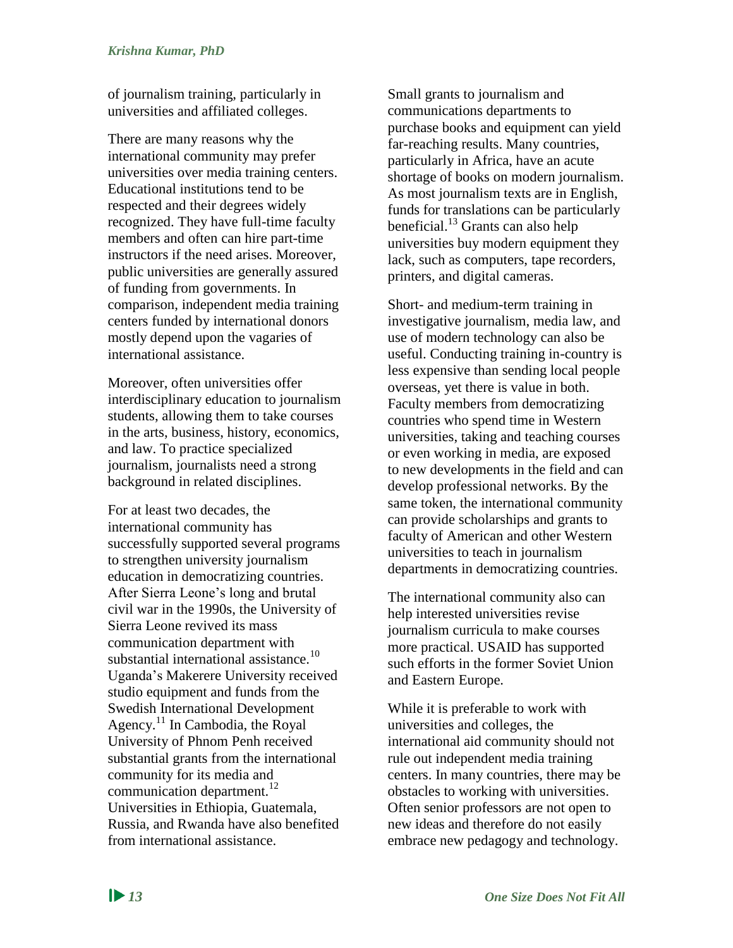of journalism training, particularly in universities and affiliated colleges.

There are many reasons why the international community may prefer universities over media training centers. Educational institutions tend to be respected and their degrees widely recognized. They have full-time faculty members and often can hire part-time instructors if the need arises. Moreover, public universities are generally assured of funding from governments. In comparison, independent media training centers funded by international donors mostly depend upon the vagaries of international assistance.

Moreover, often universities offer interdisciplinary education to journalism students, allowing them to take courses in the arts, business, history, economics, and law. To practice specialized journalism, journalists need a strong background in related disciplines.

For at least two decades, the international community has successfully supported several programs to strengthen university journalism education in democratizing countries. After Sierra Leone's long and brutal civil war in the 1990s, the University of Sierra Leone revived its mass communication department with substantial international assistance.<sup>10</sup> Uganda's Makerere University received studio equipment and funds from the Swedish International Development Agency.<sup>11</sup> In Cambodia, the Royal University of Phnom Penh received substantial grants from the international community for its media and communication department.<sup>12</sup> Universities in Ethiopia, Guatemala, Russia, and Rwanda have also benefited from international assistance.

Small grants to journalism and communications departments to purchase books and equipment can yield far-reaching results. Many countries, particularly in Africa, have an acute shortage of books on modern journalism. As most journalism texts are in English, funds for translations can be particularly beneficial.<sup>13</sup> Grants can also help universities buy modern equipment they lack, such as computers, tape recorders, printers, and digital cameras.

Short- and medium-term training in investigative journalism, media law, and use of modern technology can also be useful. Conducting training in-country is less expensive than sending local people overseas, yet there is value in both. Faculty members from democratizing countries who spend time in Western universities, taking and teaching courses or even working in media, are exposed to new developments in the field and can develop professional networks. By the same token, the international community can provide scholarships and grants to faculty of American and other Western universities to teach in journalism departments in democratizing countries.

The international community also can help interested universities revise journalism curricula to make courses more practical. USAID has supported such efforts in the former Soviet Union and Eastern Europe.

While it is preferable to work with universities and colleges, the international aid community should not rule out independent media training centers. In many countries, there may be obstacles to working with universities. Often senior professors are not open to new ideas and therefore do not easily embrace new pedagogy and technology.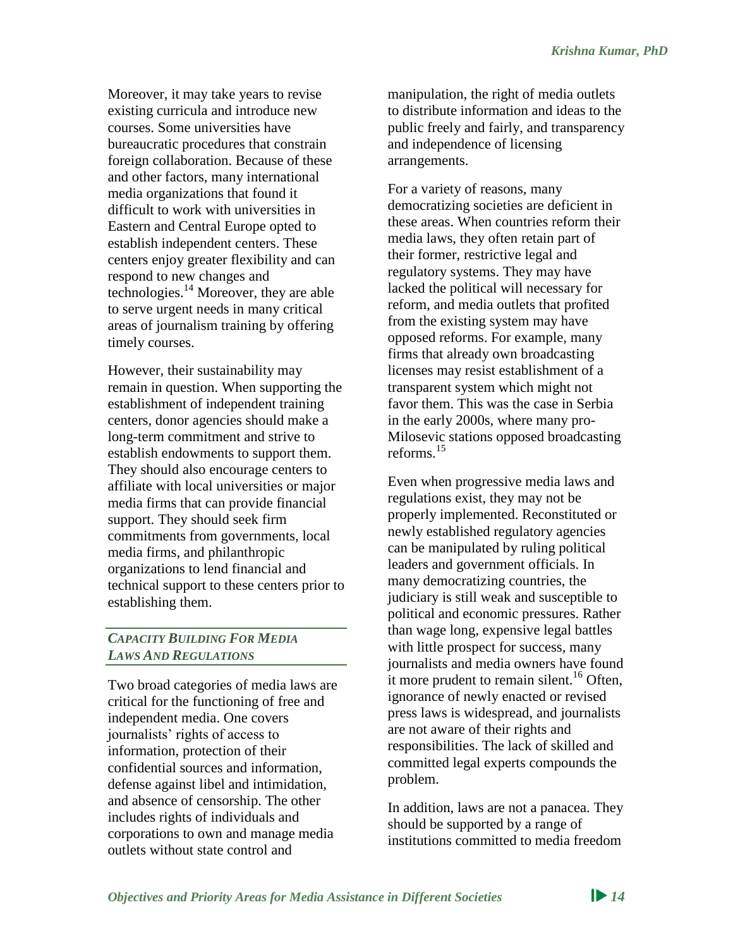Moreover, it may take years to revise existing curricula and introduce new courses. Some universities have bureaucratic procedures that constrain foreign collaboration. Because of these and other factors, many international media organizations that found it difficult to work with universities in Eastern and Central Europe opted to establish independent centers. These centers enjoy greater flexibility and can respond to new changes and technologies.<sup>14</sup> Moreover, they are able to serve urgent needs in many critical areas of journalism training by offering timely courses.

However, their sustainability may remain in question. When supporting the establishment of independent training centers, donor agencies should make a long-term commitment and strive to establish endowments to support them. They should also encourage centers to affiliate with local universities or major media firms that can provide financial support. They should seek firm commitments from governments, local media firms, and philanthropic organizations to lend financial and technical support to these centers prior to establishing them.

#### *CAPACITY BUILDING FOR MEDIA LAWS AND REGULATIONS*

Two broad categories of media laws are critical for the functioning of free and independent media. One covers journalists' rights of access to information, protection of their confidential sources and information, defense against libel and intimidation, and absence of censorship. The other includes rights of individuals and corporations to own and manage media outlets without state control and

manipulation, the right of media outlets to distribute information and ideas to the public freely and fairly, and transparency and independence of licensing arrangements.

For a variety of reasons, many democratizing societies are deficient in these areas. When countries reform their media laws, they often retain part of their former, restrictive legal and regulatory systems. They may have lacked the political will necessary for reform, and media outlets that profited from the existing system may have opposed reforms. For example, many firms that already own broadcasting licenses may resist establishment of a transparent system which might not favor them. This was the case in Serbia in the early 2000s, where many pro-Milosevic stations opposed broadcasting reforms. 15

Even when progressive media laws and regulations exist, they may not be properly implemented. Reconstituted or newly established regulatory agencies can be manipulated by ruling political leaders and government officials. In many democratizing countries, the judiciary is still weak and susceptible to political and economic pressures. Rather than wage long, expensive legal battles with little prospect for success, many journalists and media owners have found it more prudent to remain silent.<sup>16</sup> Often, ignorance of newly enacted or revised press laws is widespread, and journalists are not aware of their rights and responsibilities. The lack of skilled and committed legal experts compounds the problem.

In addition, laws are not a panacea. They should be supported by a range of institutions committed to media freedom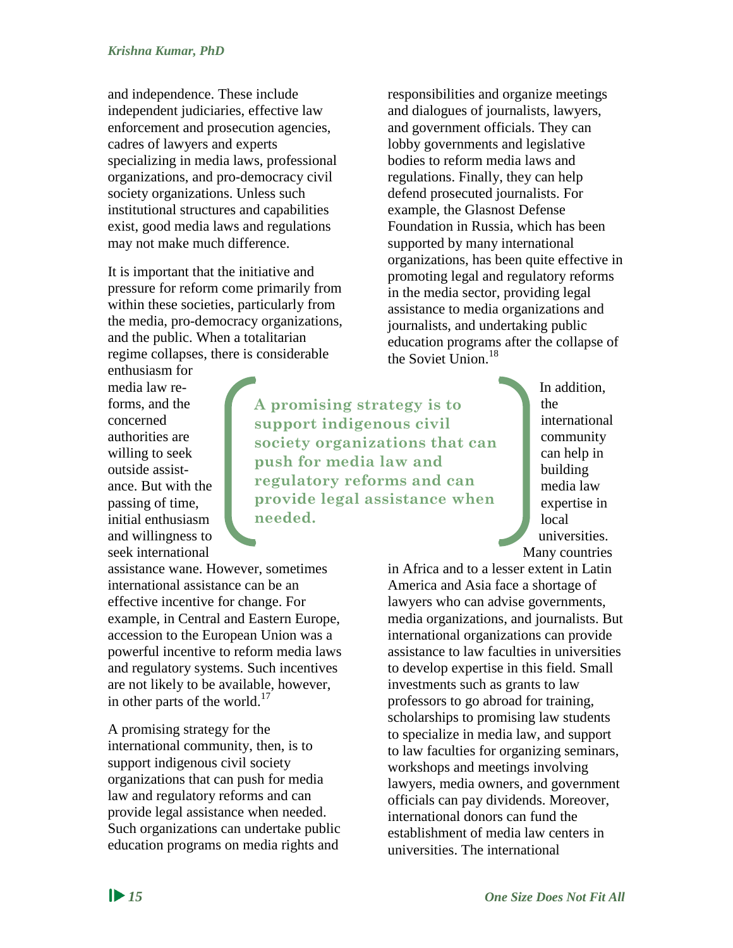and independence. These include independent judiciaries, effective law enforcement and prosecution agencies, cadres of lawyers and experts specializing in media laws, professional organizations, and pro-democracy civil society organizations. Unless such institutional structures and capabilities exist, good media laws and regulations may not make much difference.

It is important that the initiative and pressure for reform come primarily from within these societies, particularly from the media, pro-democracy organizations, and the public. When a totalitarian regime collapses, there is considerable

enthusiasm for media law reforms, and the concerned authorities are willing to seek outside assistance. But with the passing of time, initial enthusiasm and willingness to seek international

assistance wane. However, sometimes international assistance can be an effective incentive for change. For example, in Central and Eastern Europe, accession to the European Union was a powerful incentive to reform media laws and regulatory systems. Such incentives are not likely to be available, however, in other parts of the world.<sup>17</sup>

A promising strategy for the international community, then, is to support indigenous civil society organizations that can push for media law and regulatory reforms and can provide legal assistance when needed. Such organizations can undertake public education programs on media rights and

responsibilities and organize meetings and dialogues of journalists, lawyers, and government officials. They can lobby governments and legislative bodies to reform media laws and regulations. Finally, they can help defend prosecuted journalists. For example, the Glasnost Defense Foundation in Russia, which has been supported by many international organizations, has been quite effective in promoting legal and regulatory reforms in the media sector, providing legal assistance to media organizations and journalists, and undertaking public education programs after the collapse of the Soviet Union.<sup>18</sup>

**A promising strategy is to support indigenous civil society organizations that can push for media law and regulatory reforms and can provide legal assistance when needed.**

In addition, the international community can help in building media law expertise in local universities. Many countries

in Africa and to a lesser extent in Latin America and Asia face a shortage of lawyers who can advise governments, media organizations, and journalists. But international organizations can provide assistance to law faculties in universities to develop expertise in this field. Small investments such as grants to law professors to go abroad for training, scholarships to promising law students to specialize in media law, and support to law faculties for organizing seminars, workshops and meetings involving lawyers, media owners, and government officials can pay dividends. Moreover, international donors can fund the establishment of media law centers in universities. The international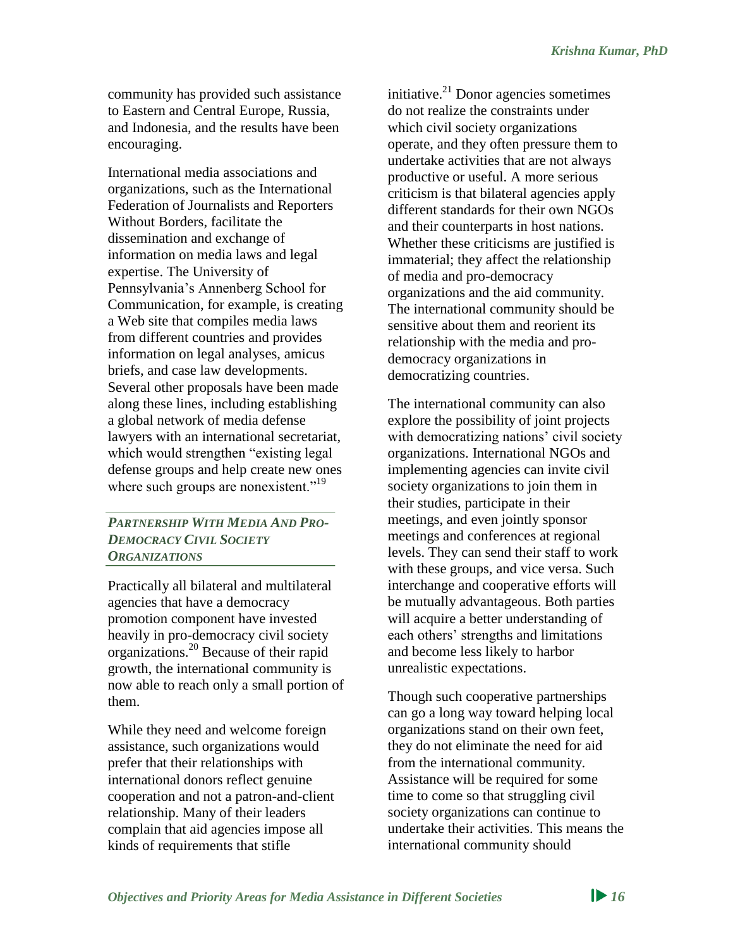community has provided such assistance to Eastern and Central Europe, Russia, and Indonesia, and the results have been encouraging.

International media associations and organizations, such as the International Federation of Journalists and Reporters Without Borders, facilitate the dissemination and exchange of information on media laws and legal expertise. The University of Pennsylvania's Annenberg School for Communication, for example, is creating a Web site that compiles media laws from different countries and provides information on legal analyses, amicus briefs, and case law developments. Several other proposals have been made along these lines, including establishing a global network of media defense lawyers with an international secretariat, which would strengthen "existing legal defense groups and help create new ones where such groups are nonexistent."<sup>19</sup>

#### *PARTNERSHIP WITH MEDIA AND PRO-DEMOCRACY CIVIL SOCIETY ORGANIZATIONS*

Practically all bilateral and multilateral agencies that have a democracy promotion component have invested heavily in pro-democracy civil society organizations.<sup>20</sup> Because of their rapid growth, the international community is now able to reach only a small portion of them.

While they need and welcome foreign assistance, such organizations would prefer that their relationships with international donors reflect genuine cooperation and not a patron-and-client relationship. Many of their leaders complain that aid agencies impose all kinds of requirements that stifle

initiative. $^{21}$  Donor agencies sometimes do not realize the constraints under which civil society organizations operate, and they often pressure them to undertake activities that are not always productive or useful. A more serious criticism is that bilateral agencies apply different standards for their own NGOs and their counterparts in host nations. Whether these criticisms are justified is immaterial; they affect the relationship of media and pro-democracy organizations and the aid community. The international community should be sensitive about them and reorient its relationship with the media and prodemocracy organizations in democratizing countries.

The international community can also explore the possibility of joint projects with democratizing nations' civil society organizations. International NGOs and implementing agencies can invite civil society organizations to join them in their studies, participate in their meetings, and even jointly sponsor meetings and conferences at regional levels. They can send their staff to work with these groups, and vice versa. Such interchange and cooperative efforts will be mutually advantageous. Both parties will acquire a better understanding of each others' strengths and limitations and become less likely to harbor unrealistic expectations.

Though such cooperative partnerships can go a long way toward helping local organizations stand on their own feet, they do not eliminate the need for aid from the international community. Assistance will be required for some time to come so that struggling civil society organizations can continue to undertake their activities. This means the international community should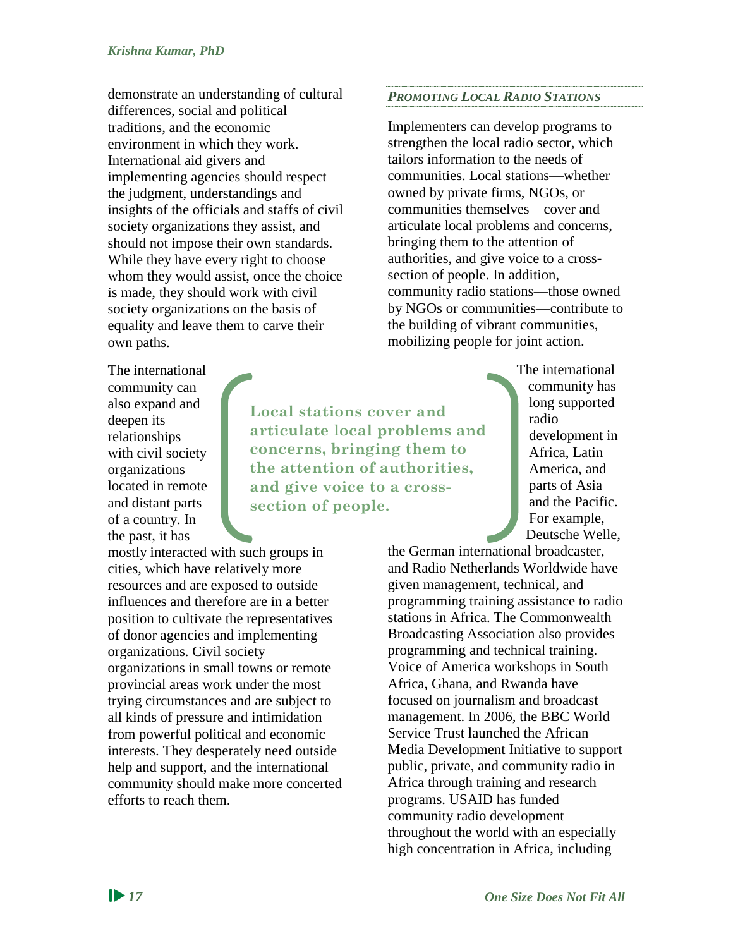demonstrate an understanding of cultural differences, social and political traditions, and the economic environment in which they work. International aid givers and implementing agencies should respect the judgment, understandings and insights of the officials and staffs of civil society organizations they assist, and should not impose their own standards. While they have every right to choose whom they would assist, once the choice is made, they should work with civil society organizations on the basis of equality and leave them to carve their own paths.

The international community can also expand and deepen its relationships with civil society organizations located in remote and distant parts of a country. In the past, it has

mostly interacted with such groups in cities, which have relatively more resources and are exposed to outside influences and therefore are in a better position to cultivate the representatives of donor agencies and implementing organizations. Civil society organizations in small towns or remote provincial areas work under the most trying circumstances and are subject to all kinds of pressure and intimidation from powerful political and economic interests. They desperately need outside help and support, and the international community should make more concerted efforts to reach them.

*PROMOTING LOCAL RADIO STATIONS*

Implementers can develop programs to strengthen the local radio sector, which tailors information to the needs of communities. Local stations—whether owned by private firms, NGOs, or communities themselves—cover and articulate local problems and concerns, bringing them to the attention of authorities, and give voice to a crosssection of people. In addition, community radio stations—those owned by NGOs or communities—contribute to the building of vibrant communities, mobilizing people for joint action.

**Local stations cover and articulate local problems and concerns, bringing them to the attention of authorities, and give voice to a crosssection of people.**

The international community has long supported radio development in Africa, Latin America, and parts of Asia and the Pacific. For example, Deutsche Welle,

the German international broadcaster, and Radio Netherlands Worldwide have given management, technical, and programming training assistance to radio stations in Africa. The Commonwealth Broadcasting Association also provides programming and technical training. Voice of America workshops in South Africa, Ghana, and Rwanda have focused on journalism and broadcast management. In 2006, the BBC World Service Trust launched the African Media Development Initiative to support public, private, and community radio in Africa through training and research programs. USAID has funded community radio development throughout the world with an especially high concentration in Africa, including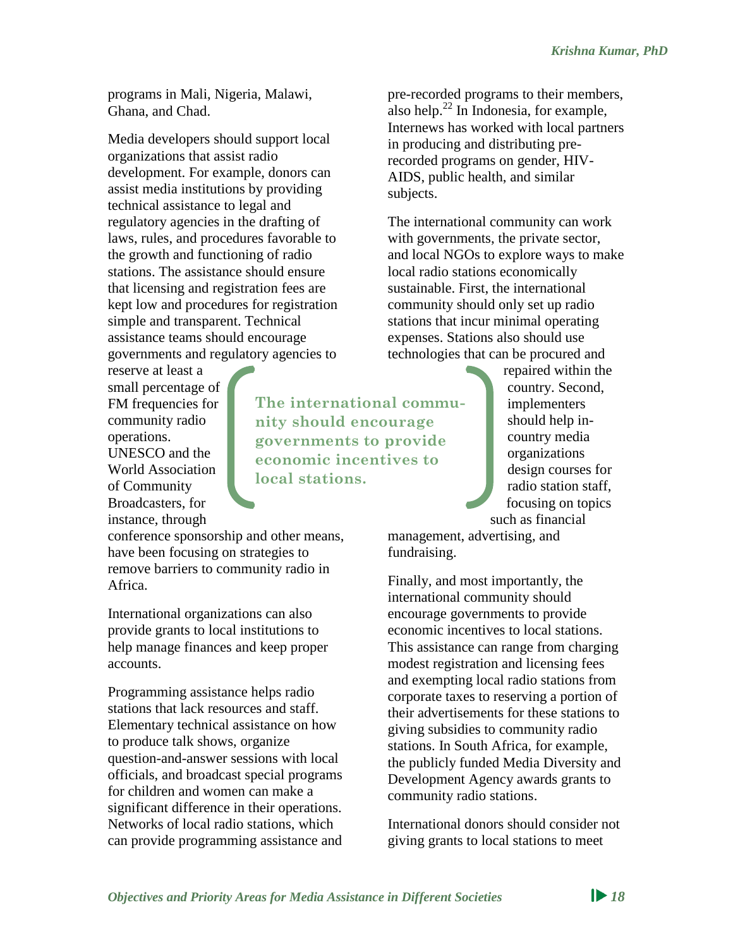programs in Mali, Nigeria, Malawi, Ghana, and Chad.

Media developers should support local organizations that assist radio development. For example, donors can assist media institutions by providing technical assistance to legal and regulatory agencies in the drafting of laws, rules, and procedures favorable to the growth and functioning of radio stations. The assistance should ensure that licensing and registration fees are kept low and procedures for registration simple and transparent. Technical assistance teams should encourage governments and regulatory agencies to

reserve at least a small percentage of FM frequencies for community radio operations. UNESCO and the World Association of Community Broadcasters, for instance, through

conference sponsorship and other means, have been focusing on strategies to remove barriers to community radio in Africa.

International organizations can also provide grants to local institutions to help manage finances and keep proper accounts.

Programming assistance helps radio stations that lack resources and staff. Elementary technical assistance on how to produce talk shows, organize question-and-answer sessions with local officials, and broadcast special programs for children and women can make a significant difference in their operations. Networks of local radio stations, which can provide programming assistance and pre-recorded programs to their members, also help. $^{22}$  In Indonesia, for example, Internews has worked with local partners in producing and distributing prerecorded programs on gender, HIV-AIDS, public health, and similar subjects.

The international community can work with governments, the private sector, and local NGOs to explore ways to make local radio stations economically sustainable. First, the international community should only set up radio stations that incur minimal operating expenses. Stations also should use technologies that can be procured and

> repaired within the country. Second, implementers should help incountry media organizations design courses for radio station staff, focusing on topics such as financial

management, advertising, and fundraising.

**The international commu-**

**nity should encourage governments to provide economic incentives to** 

**local stations.**

Finally, and most importantly, the international community should encourage governments to provide economic incentives to local stations. This assistance can range from charging modest registration and licensing fees and exempting local radio stations from corporate taxes to reserving a portion of their advertisements for these stations to giving subsidies to community radio stations. In South Africa, for example, the publicly funded Media Diversity and Development Agency awards grants to community radio stations.

International donors should consider not giving grants to local stations to meet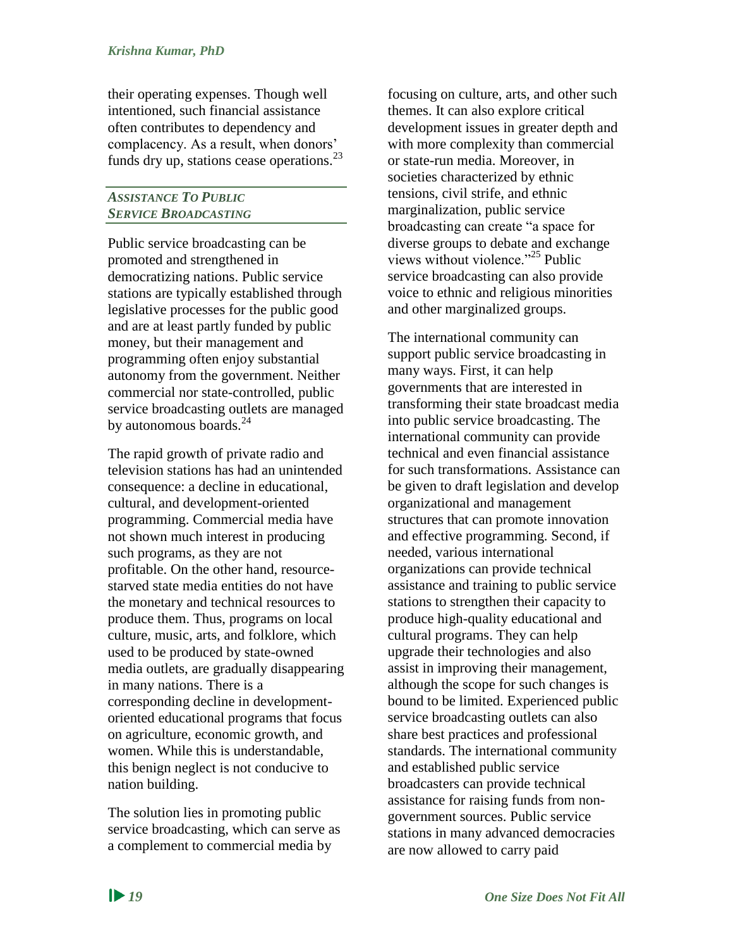their operating expenses. Though well intentioned, such financial assistance often contributes to dependency and complacency. As a result, when donors' funds dry up, stations cease operations. $^{23}$ 

#### *ASSISTANCE TO PUBLIC SERVICE BROADCASTING*

Public service broadcasting can be promoted and strengthened in democratizing nations. Public service stations are typically established through legislative processes for the public good and are at least partly funded by public money, but their management and programming often enjoy substantial autonomy from the government. Neither commercial nor state-controlled, public service broadcasting outlets are managed by autonomous boards. $^{24}$ 

The rapid growth of private radio and television stations has had an unintended consequence: a decline in educational, cultural, and development-oriented programming. Commercial media have not shown much interest in producing such programs, as they are not profitable. On the other hand, resourcestarved state media entities do not have the monetary and technical resources to produce them. Thus, programs on local culture, music, arts, and folklore, which used to be produced by state-owned media outlets, are gradually disappearing in many nations. There is a corresponding decline in developmentoriented educational programs that focus on agriculture, economic growth, and women. While this is understandable, this benign neglect is not conducive to nation building.

The solution lies in promoting public service broadcasting, which can serve as a complement to commercial media by

focusing on culture, arts, and other such themes. It can also explore critical development issues in greater depth and with more complexity than commercial or state-run media. Moreover, in societies characterized by ethnic tensions, civil strife, and ethnic marginalization, public service broadcasting can create "a space for diverse groups to debate and exchange views without violence."<sup>25</sup> Public service broadcasting can also provide voice to ethnic and religious minorities and other marginalized groups.

The international community can support public service broadcasting in many ways. First, it can help governments that are interested in transforming their state broadcast media into public service broadcasting. The international community can provide technical and even financial assistance for such transformations. Assistance can be given to draft legislation and develop organizational and management structures that can promote innovation and effective programming. Second, if needed, various international organizations can provide technical assistance and training to public service stations to strengthen their capacity to produce high-quality educational and cultural programs. They can help upgrade their technologies and also assist in improving their management, although the scope for such changes is bound to be limited. Experienced public service broadcasting outlets can also share best practices and professional standards. The international community and established public service broadcasters can provide technical assistance for raising funds from nongovernment sources. Public service stations in many advanced democracies are now allowed to carry paid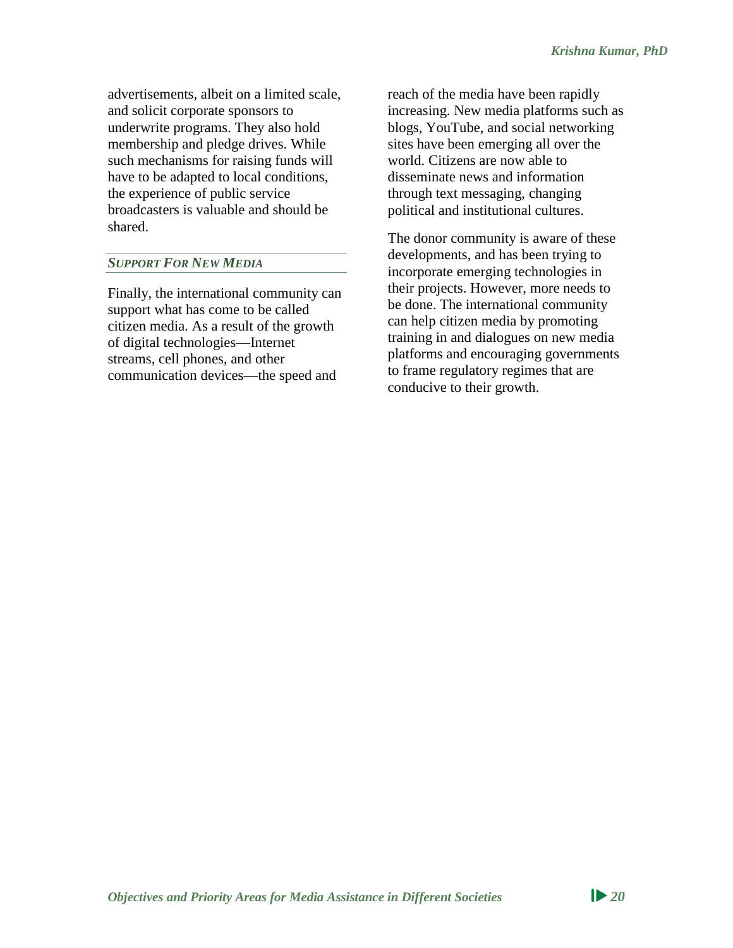advertisements, albeit on a limited scale, and solicit corporate sponsors to underwrite programs. They also hold membership and pledge drives. While such mechanisms for raising funds will have to be adapted to local conditions, the experience of public service broadcasters is valuable and should be shared.

#### *SUPPORT FOR NEW MEDIA*

Finally, the international community can support what has come to be called citizen media. As a result of the growth of digital technologies—Internet streams, cell phones, and other communication devices—the speed and

reach of the media have been rapidly increasing. New media platforms such as blogs, YouTube, and social networking sites have been emerging all over the world. Citizens are now able to disseminate news and information through text messaging, changing political and institutional cultures.

The donor community is aware of these developments, and has been trying to incorporate emerging technologies in their projects. However, more needs to be done. The international community can help citizen media by promoting training in and dialogues on new media platforms and encouraging governments to frame regulatory regimes that are conducive to their growth.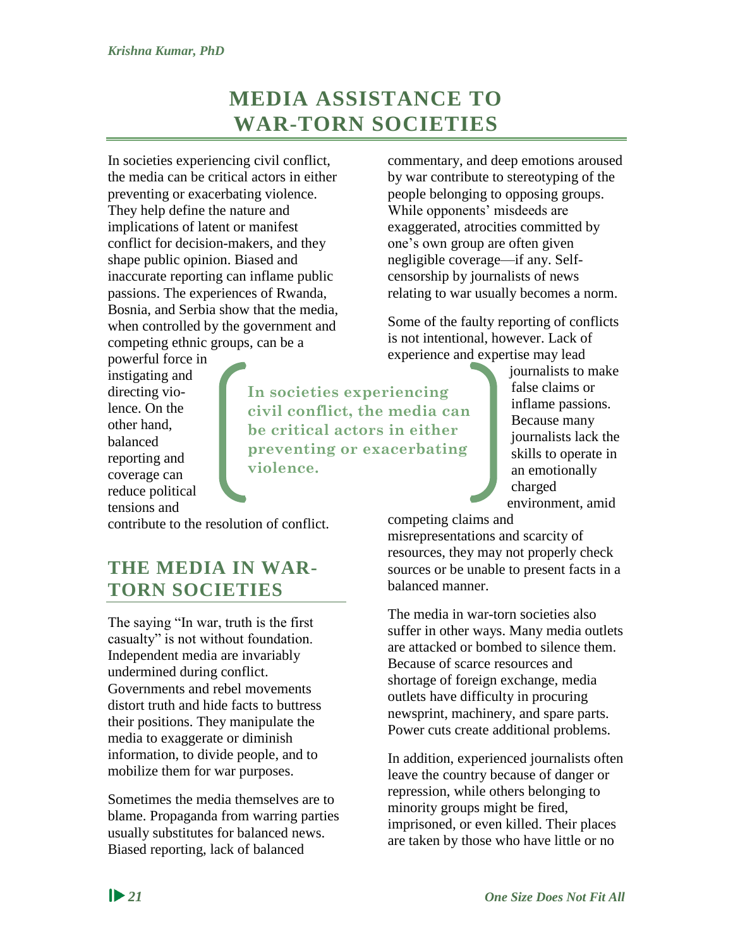# **MEDIA ASSISTANCE TO WAR-TORN SOCIETIES**

<span id="page-27-0"></span>In societies experiencing civil conflict, the media can be critical actors in either preventing or exacerbating violence. They help define the nature and implications of latent or manifest conflict for decision-makers, and they shape public opinion. Biased and inaccurate reporting can inflame public passions. The experiences of Rwanda, Bosnia, and Serbia show that the media, when controlled by the government and competing ethnic groups, can be a

powerful force in instigating and directing violence. On the other hand, balanced reporting and coverage can reduce political tensions and

**In societies experiencing civil conflict, the media can be critical actors in either preventing or exacerbating violence.**

commentary, and deep emotions aroused by war contribute to stereotyping of the people belonging to opposing groups. While opponents' misdeeds are exaggerated, atrocities committed by one's own group are often given negligible coverage—if any. Selfcensorship by journalists of news relating to war usually becomes a norm.

Some of the faulty reporting of conflicts is not intentional, however. Lack of experience and expertise may lead

> journalists to make false claims or inflame passions. Because many journalists lack the skills to operate in an emotionally charged environment, amid

contribute to the resolution of conflict.

## <span id="page-27-1"></span>**THE MEDIA IN WAR-TORN SOCIETIES**

The saying "In war, truth is the first casualty" is not without foundation. Independent media are invariably undermined during conflict. Governments and rebel movements distort truth and hide facts to buttress their positions. They manipulate the media to exaggerate or diminish information, to divide people, and to mobilize them for war purposes.

Sometimes the media themselves are to blame. Propaganda from warring parties usually substitutes for balanced news. Biased reporting, lack of balanced

competing claims and

misrepresentations and scarcity of resources, they may not properly check sources or be unable to present facts in a balanced manner.

The media in war-torn societies also suffer in other ways. Many media outlets are attacked or bombed to silence them. Because of scarce resources and shortage of foreign exchange, media outlets have difficulty in procuring newsprint, machinery, and spare parts. Power cuts create additional problems.

In addition, experienced journalists often leave the country because of danger or repression, while others belonging to minority groups might be fired, imprisoned, or even killed. Their places are taken by those who have little or no

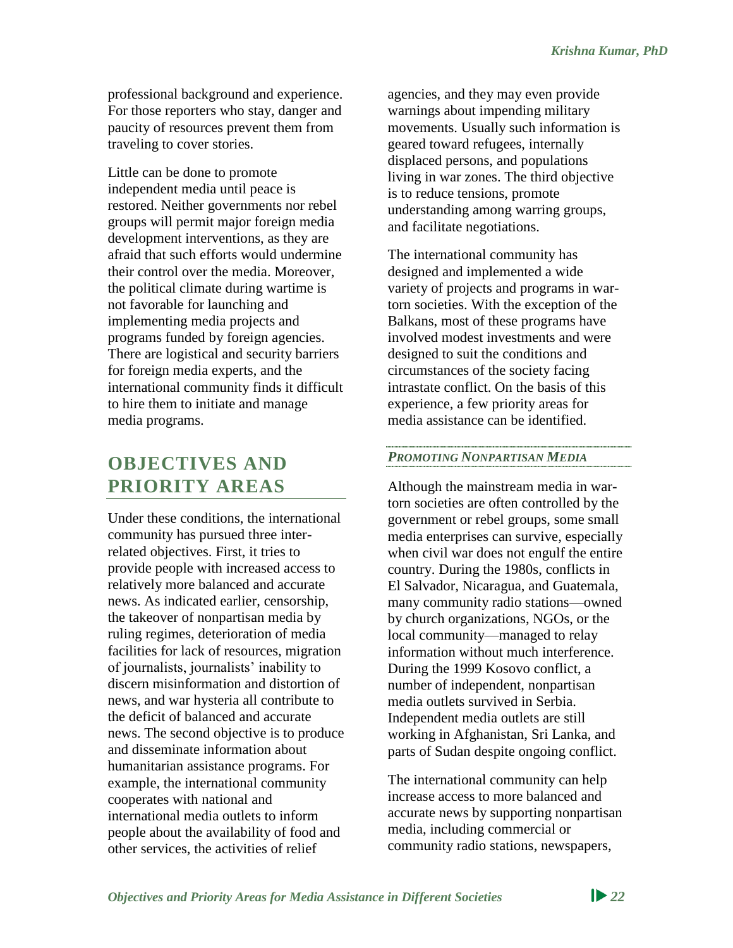professional background and experience. For those reporters who stay, danger and paucity of resources prevent them from traveling to cover stories.

Little can be done to promote independent media until peace is restored. Neither governments nor rebel groups will permit major foreign media development interventions, as they are afraid that such efforts would undermine their control over the media. Moreover, the political climate during wartime is not favorable for launching and implementing media projects and programs funded by foreign agencies. There are logistical and security barriers for foreign media experts, and the international community finds it difficult to hire them to initiate and manage media programs.

## <span id="page-28-0"></span>**OBJECTIVES AND PRIORITY AREAS**

Under these conditions, the international community has pursued three interrelated objectives. First, it tries to provide people with increased access to relatively more balanced and accurate news. As indicated earlier, censorship, the takeover of nonpartisan media by ruling regimes, deterioration of media facilities for lack of resources, migration of journalists, journalists' inability to discern misinformation and distortion of news, and war hysteria all contribute to the deficit of balanced and accurate news. The second objective is to produce and disseminate information about humanitarian assistance programs. For example, the international community cooperates with national and international media outlets to inform people about the availability of food and other services, the activities of relief

agencies, and they may even provide warnings about impending military movements. Usually such information is geared toward refugees, internally displaced persons, and populations living in war zones. The third objective is to reduce tensions, promote understanding among warring groups, and facilitate negotiations.

The international community has designed and implemented a wide variety of projects and programs in wartorn societies. With the exception of the Balkans, most of these programs have involved modest investments and were designed to suit the conditions and circumstances of the society facing intrastate conflict. On the basis of this experience, a few priority areas for media assistance can be identified.

## *PROMOTING NONPARTISAN MEDIA*

Although the mainstream media in wartorn societies are often controlled by the government or rebel groups, some small media enterprises can survive, especially when civil war does not engulf the entire country. During the 1980s, conflicts in El Salvador, Nicaragua, and Guatemala, many community radio stations—owned by church organizations, NGOs, or the local community—managed to relay information without much interference. During the 1999 Kosovo conflict, a number of independent, nonpartisan media outlets survived in Serbia. Independent media outlets are still working in Afghanistan, Sri Lanka, and parts of Sudan despite ongoing conflict.

The international community can help increase access to more balanced and accurate news by supporting nonpartisan media, including commercial or community radio stations, newspapers,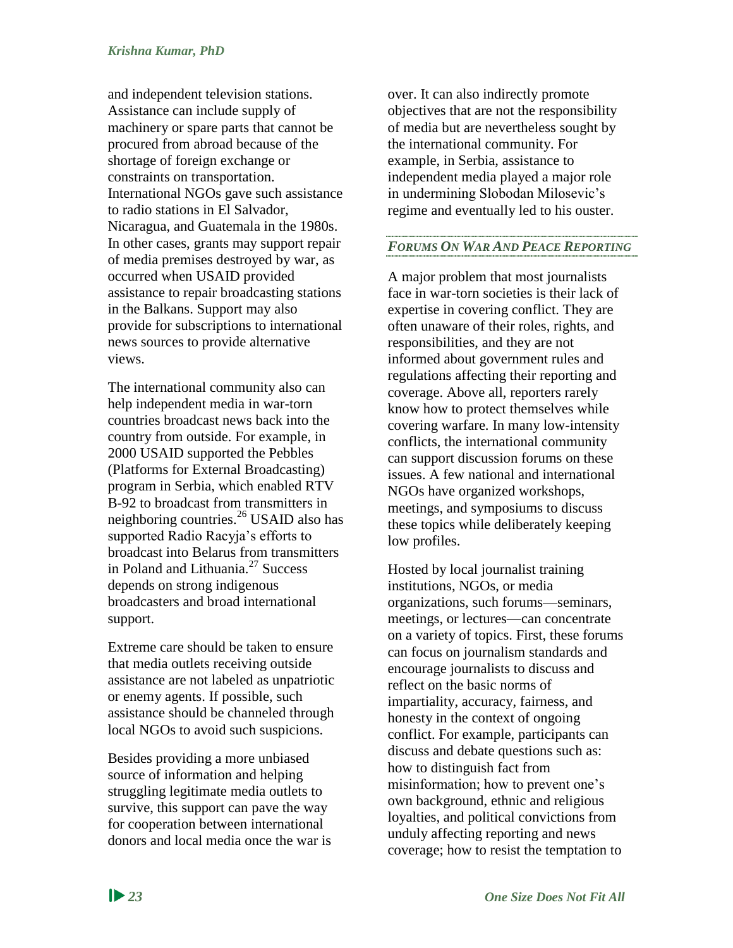and independent television stations. Assistance can include supply of machinery or spare parts that cannot be procured from abroad because of the shortage of foreign exchange or constraints on transportation. International NGOs gave such assistance to radio stations in El Salvador, Nicaragua, and Guatemala in the 1980s. In other cases, grants may support repair of media premises destroyed by war, as occurred when USAID provided assistance to repair broadcasting stations in the Balkans. Support may also provide for subscriptions to international news sources to provide alternative views.

The international community also can help independent media in war-torn countries broadcast news back into the country from outside. For example, in 2000 USAID supported the Pebbles (Platforms for External Broadcasting) program in Serbia, which enabled RTV B-92 to broadcast from transmitters in neighboring countries.<sup>26</sup> USAID also has supported Radio Racyja's efforts to broadcast into Belarus from transmitters in Poland and Lithuania.<sup>27</sup> Success depends on strong indigenous broadcasters and broad international support.

Extreme care should be taken to ensure that media outlets receiving outside assistance are not labeled as unpatriotic or enemy agents. If possible, such assistance should be channeled through local NGOs to avoid such suspicions.

Besides providing a more unbiased source of information and helping struggling legitimate media outlets to survive, this support can pave the way for cooperation between international donors and local media once the war is over. It can also indirectly promote objectives that are not the responsibility of media but are nevertheless sought by the international community. For example, in Serbia, assistance to independent media played a major role in undermining Slobodan Milosevic's regime and eventually led to his ouster.

#### *FORUMS ON WAR AND PEACE REPORTING*

A major problem that most journalists face in war-torn societies is their lack of expertise in covering conflict. They are often unaware of their roles, rights, and responsibilities, and they are not informed about government rules and regulations affecting their reporting and coverage. Above all, reporters rarely know how to protect themselves while covering warfare. In many low-intensity conflicts, the international community can support discussion forums on these issues. A few national and international NGOs have organized workshops, meetings, and symposiums to discuss these topics while deliberately keeping low profiles.

Hosted by local journalist training institutions, NGOs, or media organizations, such forums—seminars, meetings, or lectures—can concentrate on a variety of topics. First, these forums can focus on journalism standards and encourage journalists to discuss and reflect on the basic norms of impartiality, accuracy, fairness, and honesty in the context of ongoing conflict. For example, participants can discuss and debate questions such as: how to distinguish fact from misinformation; how to prevent one's own background, ethnic and religious loyalties, and political convictions from unduly affecting reporting and news coverage; how to resist the temptation to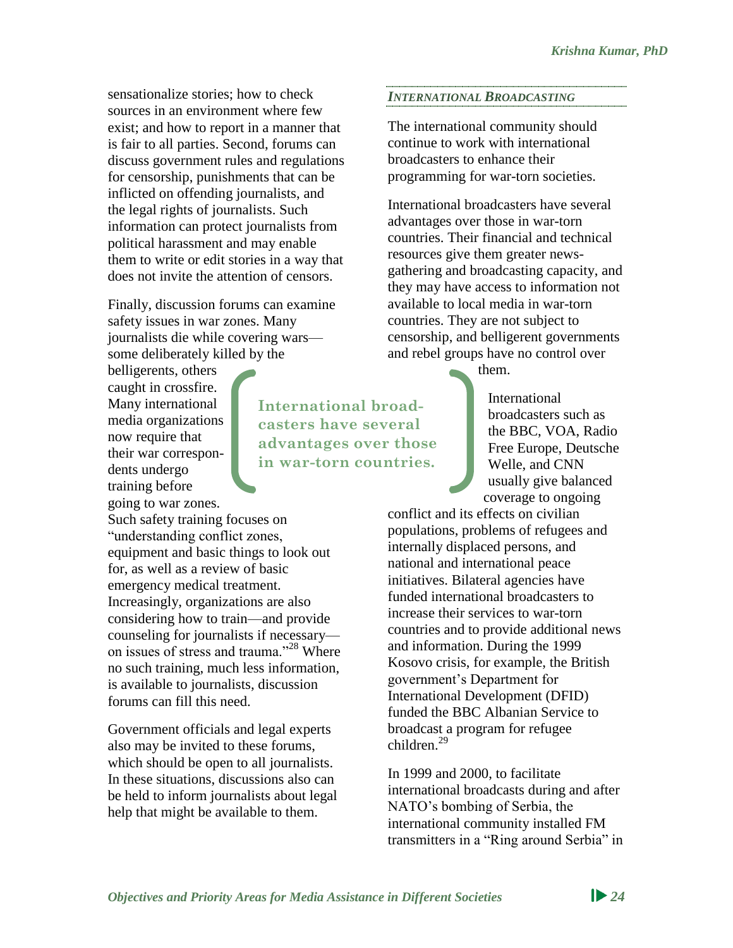sensationalize stories; how to check sources in an environment where few exist; and how to report in a manner that is fair to all parties. Second, forums can discuss government rules and regulations for censorship, punishments that can be inflicted on offending journalists, and the legal rights of journalists. Such information can protect journalists from political harassment and may enable them to write or edit stories in a way that does not invite the attention of censors.

Finally, discussion forums can examine safety issues in war zones. Many journalists die while covering wars some deliberately killed by the

belligerents, others caught in crossfire. Many international media organizations now require that their war correspondents undergo training before going to war zones.

Such safety training focuses on "understanding conflict zones, equipment and basic things to look out for, as well as a review of basic emergency medical treatment. Increasingly, organizations are also considering how to train—and provide counseling for journalists if necessary on issues of stress and trauma."<sup>28</sup> Where no such training, much less information, is available to journalists, discussion forums can fill this need.

Government officials and legal experts also may be invited to these forums, which should be open to all journalists. In these situations, discussions also can be held to inform journalists about legal help that might be available to them.

**International broadcasters have several advantages over those in war-torn countries.**

## *INTERNATIONAL BROADCASTING*

The international community should continue to work with international broadcasters to enhance their programming for war-torn societies.

International broadcasters have several advantages over those in war-torn countries. Their financial and technical resources give them greater newsgathering and broadcasting capacity, and they may have access to information not available to local media in war-torn countries. They are not subject to censorship, and belligerent governments and rebel groups have no control over

them.

International broadcasters such as the BBC, VOA, Radio Free Europe, Deutsche Welle, and CNN usually give balanced coverage to ongoing

conflict and its effects on civilian populations, problems of refugees and internally displaced persons, and national and international peace initiatives. Bilateral agencies have funded international broadcasters to increase their services to war-torn countries and to provide additional news and information. During the 1999 Kosovo crisis, for example, the British government's Department for International Development (DFID) funded the BBC Albanian Service to broadcast a program for refugee  $children<sup>29</sup>$ 

In 1999 and 2000, to facilitate international broadcasts during and after NATO's bombing of Serbia, the international community installed FM transmitters in a "Ring around Serbia" in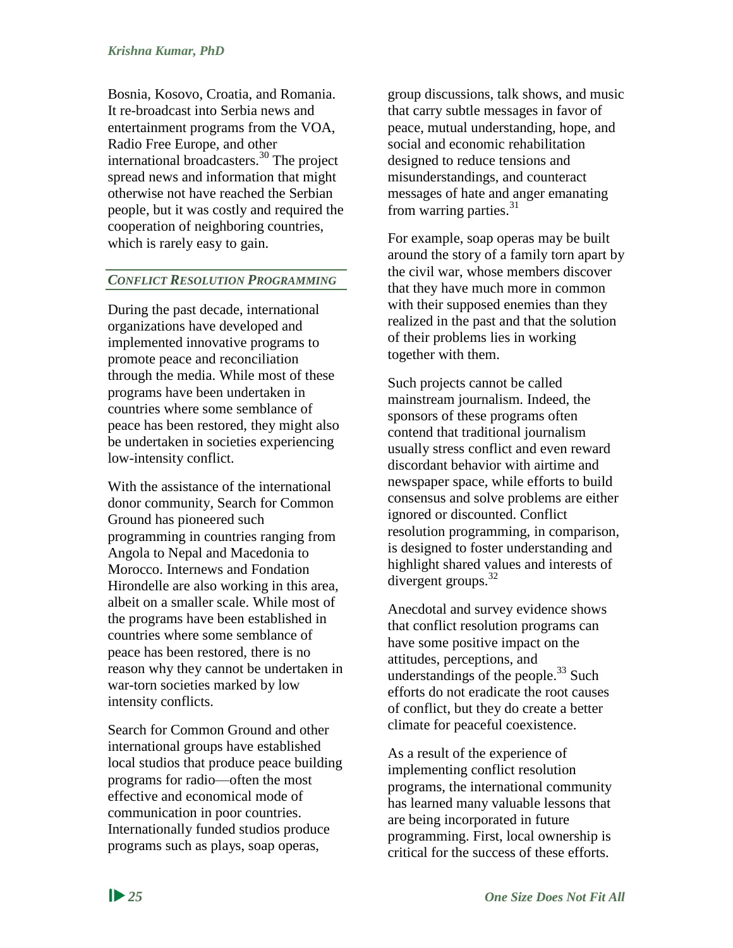Bosnia, Kosovo, Croatia, and Romania. It re-broadcast into Serbia news and entertainment programs from the VOA, Radio Free Europe, and other international broadcasters.<sup>30</sup> The project spread news and information that might otherwise not have reached the Serbian people, but it was costly and required the cooperation of neighboring countries, which is rarely easy to gain.

#### *CONFLICT RESOLUTION PROGRAMMING*

During the past decade, international organizations have developed and implemented innovative programs to promote peace and reconciliation through the media. While most of these programs have been undertaken in countries where some semblance of peace has been restored, they might also be undertaken in societies experiencing low-intensity conflict.

With the assistance of the international donor community, Search for Common Ground has pioneered such programming in countries ranging from Angola to Nepal and Macedonia to Morocco. Internews and Fondation Hirondelle are also working in this area, albeit on a smaller scale. While most of the programs have been established in countries where some semblance of peace has been restored, there is no reason why they cannot be undertaken in war-torn societies marked by low intensity conflicts.

Search for Common Ground and other international groups have established local studios that produce peace building programs for radio—often the most effective and economical mode of communication in poor countries. Internationally funded studios produce programs such as plays, soap operas,

group discussions, talk shows, and music that carry subtle messages in favor of peace, mutual understanding, hope, and social and economic rehabilitation designed to reduce tensions and misunderstandings, and counteract messages of hate and anger emanating from warring parties.<sup>31</sup>

For example, soap operas may be built around the story of a family torn apart by the civil war, whose members discover that they have much more in common with their supposed enemies than they realized in the past and that the solution of their problems lies in working together with them.

Such projects cannot be called mainstream journalism. Indeed, the sponsors of these programs often contend that traditional journalism usually stress conflict and even reward discordant behavior with airtime and newspaper space, while efforts to build consensus and solve problems are either ignored or discounted. Conflict resolution programming, in comparison, is designed to foster understanding and highlight shared values and interests of divergent groups. $32$ 

Anecdotal and survey evidence shows that conflict resolution programs can have some positive impact on the attitudes, perceptions, and understandings of the people. $^{33}$  Such efforts do not eradicate the root causes of conflict, but they do create a better climate for peaceful coexistence.

As a result of the experience of implementing conflict resolution programs, the international community has learned many valuable lessons that are being incorporated in future programming. First, local ownership is critical for the success of these efforts.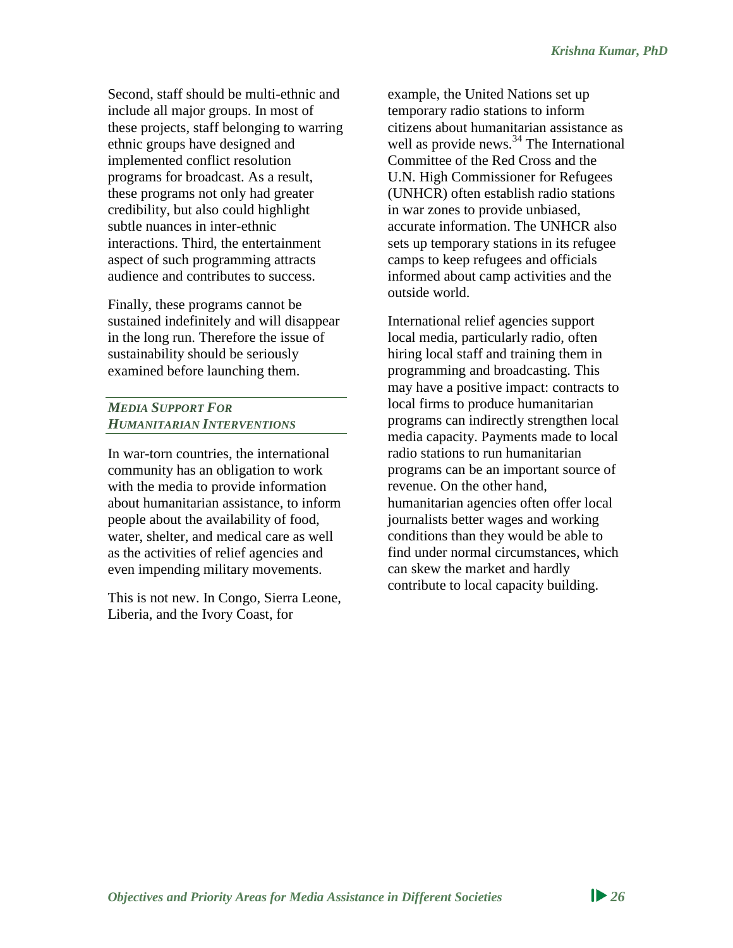Second, staff should be multi-ethnic and include all major groups. In most of these projects, staff belonging to warring ethnic groups have designed and implemented conflict resolution programs for broadcast. As a result, these programs not only had greater credibility, but also could highlight subtle nuances in inter-ethnic interactions. Third, the entertainment aspect of such programming attracts audience and contributes to success.

Finally, these programs cannot be sustained indefinitely and will disappear in the long run. Therefore the issue of sustainability should be seriously examined before launching them.

#### *MEDIA SUPPORT FOR HUMANITARIAN INTERVENTIONS*

In war-torn countries, the international community has an obligation to work with the media to provide information about humanitarian assistance, to inform people about the availability of food, water, shelter, and medical care as well as the activities of relief agencies and even impending military movements.

This is not new. In Congo, Sierra Leone, Liberia, and the Ivory Coast, for

example, the United Nations set up temporary radio stations to inform citizens about humanitarian assistance as well as provide news.<sup>34</sup> The International Committee of the Red Cross and the U.N. High Commissioner for Refugees (UNHCR) often establish radio stations in war zones to provide unbiased, accurate information. The UNHCR also sets up temporary stations in its refugee camps to keep refugees and officials informed about camp activities and the outside world.

International relief agencies support local media, particularly radio, often hiring local staff and training them in programming and broadcasting. This may have a positive impact: contracts to local firms to produce humanitarian programs can indirectly strengthen local media capacity. Payments made to local radio stations to run humanitarian programs can be an important source of revenue. On the other hand, humanitarian agencies often offer local journalists better wages and working conditions than they would be able to find under normal circumstances, which can skew the market and hardly contribute to local capacity building.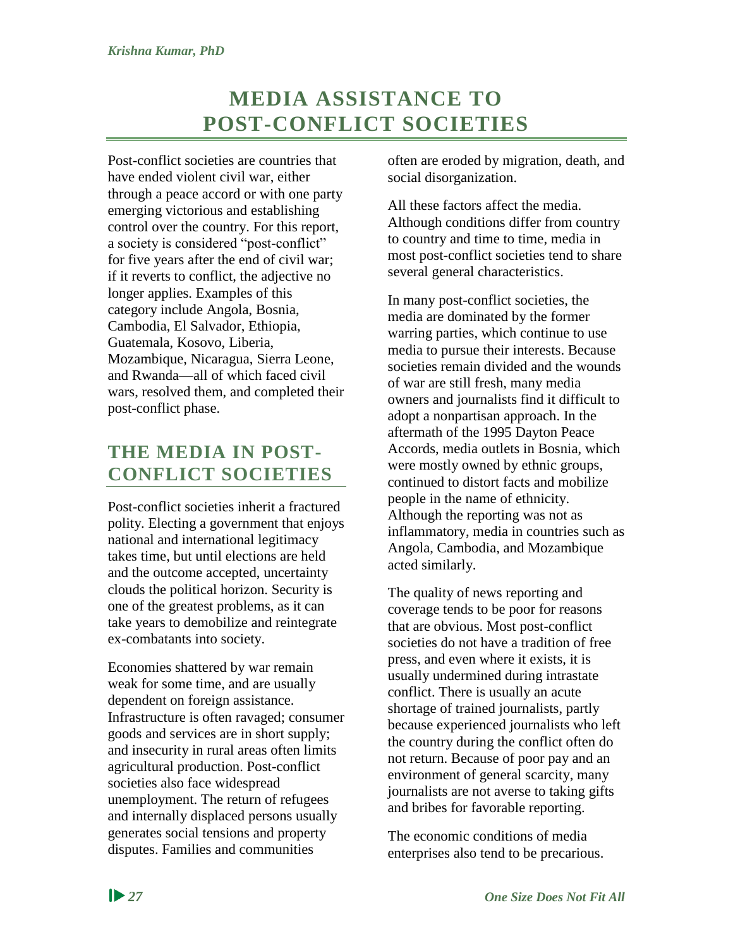# **MEDIA ASSISTANCE TO POST-CONFLICT SOCIETIES**

<span id="page-33-0"></span>Post-conflict societies are countries that have ended violent civil war, either through a peace accord or with one party emerging victorious and establishing control over the country. For this report, a society is considered "post-conflict" for five years after the end of civil war; if it reverts to conflict, the adjective no longer applies. Examples of this category include Angola, Bosnia, Cambodia, El Salvador, Ethiopia, Guatemala, Kosovo, Liberia, Mozambique, Nicaragua, Sierra Leone, and Rwanda—all of which faced civil wars, resolved them, and completed their post-conflict phase.

## <span id="page-33-1"></span>**THE MEDIA IN POST-CONFLICT SOCIETIES**

Post-conflict societies inherit a fractured polity. Electing a government that enjoys national and international legitimacy takes time, but until elections are held and the outcome accepted, uncertainty clouds the political horizon. Security is one of the greatest problems, as it can take years to demobilize and reintegrate ex-combatants into society.

Economies shattered by war remain weak for some time, and are usually dependent on foreign assistance. Infrastructure is often ravaged; consumer goods and services are in short supply; and insecurity in rural areas often limits agricultural production. Post-conflict societies also face widespread unemployment. The return of refugees and internally displaced persons usually generates social tensions and property disputes. Families and communities

often are eroded by migration, death, and social disorganization.

All these factors affect the media. Although conditions differ from country to country and time to time, media in most post-conflict societies tend to share several general characteristics.

In many post-conflict societies, the media are dominated by the former warring parties, which continue to use media to pursue their interests. Because societies remain divided and the wounds of war are still fresh, many media owners and journalists find it difficult to adopt a nonpartisan approach. In the aftermath of the 1995 Dayton Peace Accords, media outlets in Bosnia, which were mostly owned by ethnic groups, continued to distort facts and mobilize people in the name of ethnicity. Although the reporting was not as inflammatory, media in countries such as Angola, Cambodia, and Mozambique acted similarly.

The quality of news reporting and coverage tends to be poor for reasons that are obvious. Most post-conflict societies do not have a tradition of free press, and even where it exists, it is usually undermined during intrastate conflict. There is usually an acute shortage of trained journalists, partly because experienced journalists who left the country during the conflict often do not return. Because of poor pay and an environment of general scarcity, many journalists are not averse to taking gifts and bribes for favorable reporting.

The economic conditions of media enterprises also tend to be precarious.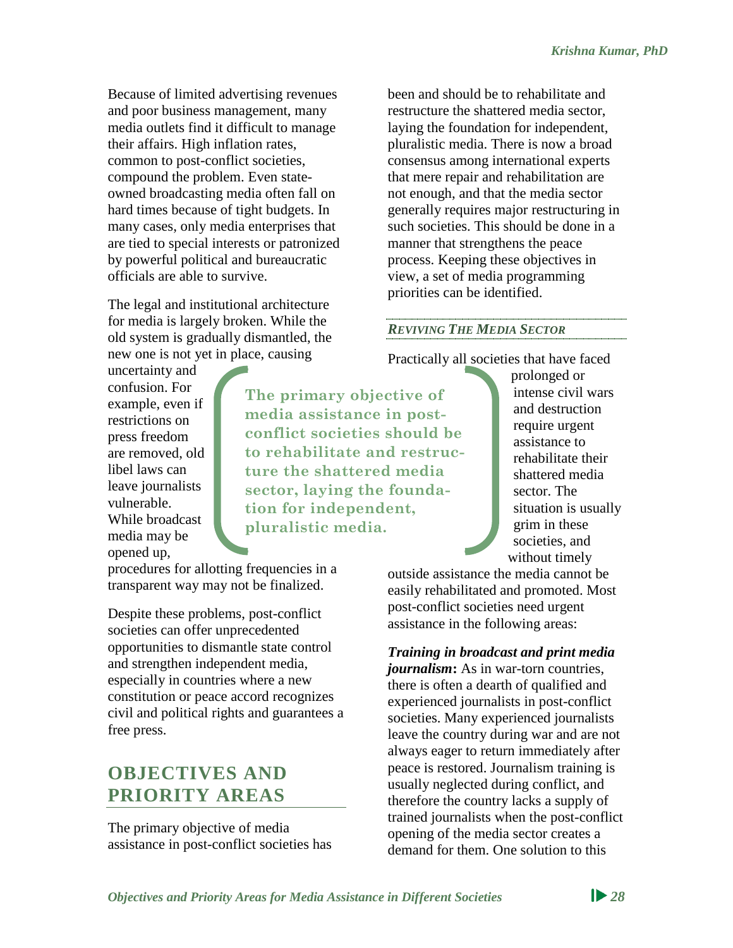Because of limited advertising revenues and poor business management, many media outlets find it difficult to manage their affairs. High inflation rates, common to post-conflict societies, compound the problem. Even stateowned broadcasting media often fall on hard times because of tight budgets. In many cases, only media enterprises that are tied to special interests or patronized by powerful political and bureaucratic officials are able to survive.

The legal and institutional architecture for media is largely broken. While the old system is gradually dismantled, the new one is not yet in place, causing

uncertainty and confusion. For example, even if restrictions on press freedom are removed, old libel laws can leave journalists vulnerable. While broadcast media may be opened up,

**The primary objective of media assistance in postconflict societies should be to rehabilitate and restructure the shattered media sector, laying the foundation for independent, pluralistic media.**

procedures for allotting frequencies in a transparent way may not be finalized.

Despite these problems, post-conflict societies can offer unprecedented opportunities to dismantle state control and strengthen independent media, especially in countries where a new constitution or peace accord recognizes civil and political rights and guarantees a free press.

## <span id="page-34-0"></span>**OBJECTIVES AND PRIORITY AREAS**

The primary objective of media assistance in post-conflict societies has been and should be to rehabilitate and restructure the shattered media sector, laying the foundation for independent, pluralistic media. There is now a broad consensus among international experts that mere repair and rehabilitation are not enough, and that the media sector generally requires major restructuring in such societies. This should be done in a manner that strengthens the peace process. Keeping these objectives in view, a set of media programming priorities can be identified.

## *REVIVING THE MEDIA SECTOR*

Practically all societies that have faced

prolonged or intense civil wars and destruction require urgent assistance to rehabilitate their shattered media sector. The situation is usually grim in these societies, and without timely

outside assistance the media cannot be easily rehabilitated and promoted. Most post-conflict societies need urgent assistance in the following areas:

# *Training in broadcast and print media*

*journalism***:** As in war-torn countries, there is often a dearth of qualified and experienced journalists in post-conflict societies. Many experienced journalists leave the country during war and are not always eager to return immediately after peace is restored. Journalism training is usually neglected during conflict, and therefore the country lacks a supply of trained journalists when the post-conflict opening of the media sector creates a demand for them. One solution to this

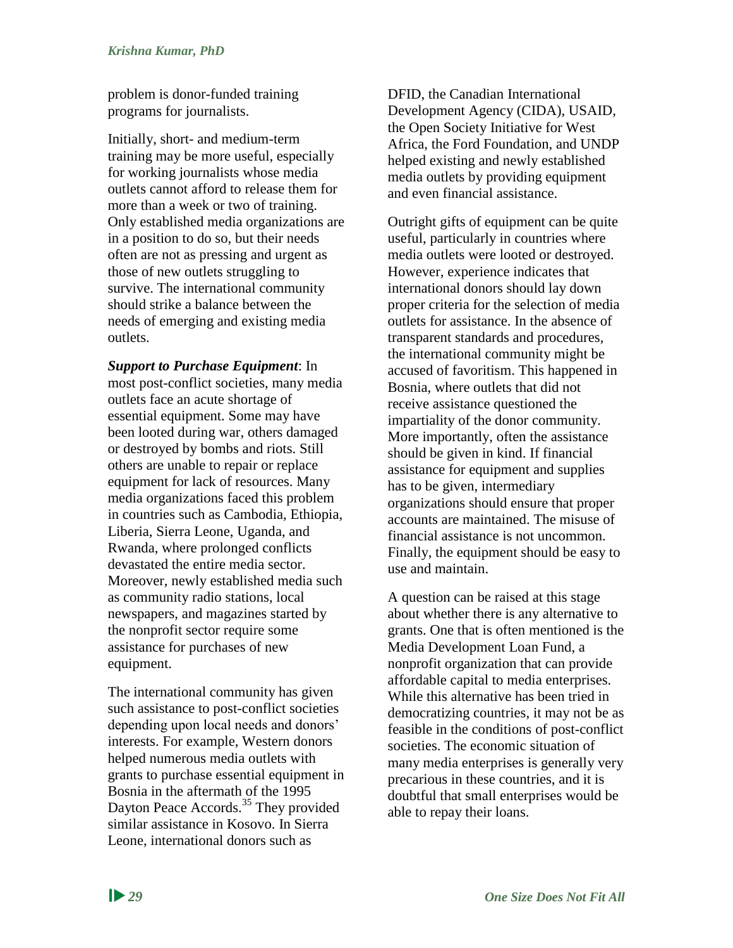problem is donor-funded training programs for journalists.

Initially, short- and medium-term training may be more useful, especially for working journalists whose media outlets cannot afford to release them for more than a week or two of training. Only established media organizations are in a position to do so, but their needs often are not as pressing and urgent as those of new outlets struggling to survive. The international community should strike a balance between the needs of emerging and existing media outlets.

*Support to Purchase Equipment*: In most post-conflict societies, many media outlets face an acute shortage of essential equipment. Some may have been looted during war, others damaged or destroyed by bombs and riots. Still others are unable to repair or replace equipment for lack of resources. Many media organizations faced this problem in countries such as Cambodia, Ethiopia, Liberia, Sierra Leone, Uganda, and Rwanda, where prolonged conflicts devastated the entire media sector. Moreover, newly established media such as community radio stations, local newspapers, and magazines started by the nonprofit sector require some assistance for purchases of new equipment.

The international community has given such assistance to post-conflict societies depending upon local needs and donors' interests. For example, Western donors helped numerous media outlets with grants to purchase essential equipment in Bosnia in the aftermath of the 1995 Dayton Peace Accords.<sup>35</sup> They provided similar assistance in Kosovo. In Sierra Leone, international donors such as

DFID, the Canadian International Development Agency (CIDA), USAID, the Open Society Initiative for West Africa, the Ford Foundation, and UNDP helped existing and newly established media outlets by providing equipment and even financial assistance.

Outright gifts of equipment can be quite useful, particularly in countries where media outlets were looted or destroyed. However, experience indicates that international donors should lay down proper criteria for the selection of media outlets for assistance. In the absence of transparent standards and procedures, the international community might be accused of favoritism. This happened in Bosnia, where outlets that did not receive assistance questioned the impartiality of the donor community. More importantly, often the assistance should be given in kind. If financial assistance for equipment and supplies has to be given, intermediary organizations should ensure that proper accounts are maintained. The misuse of financial assistance is not uncommon. Finally, the equipment should be easy to use and maintain.

A question can be raised at this stage about whether there is any alternative to grants. One that is often mentioned is the Media Development Loan Fund, a nonprofit organization that can provide affordable capital to media enterprises. While this alternative has been tried in democratizing countries, it may not be as feasible in the conditions of post-conflict societies. The economic situation of many media enterprises is generally very precarious in these countries, and it is doubtful that small enterprises would be able to repay their loans.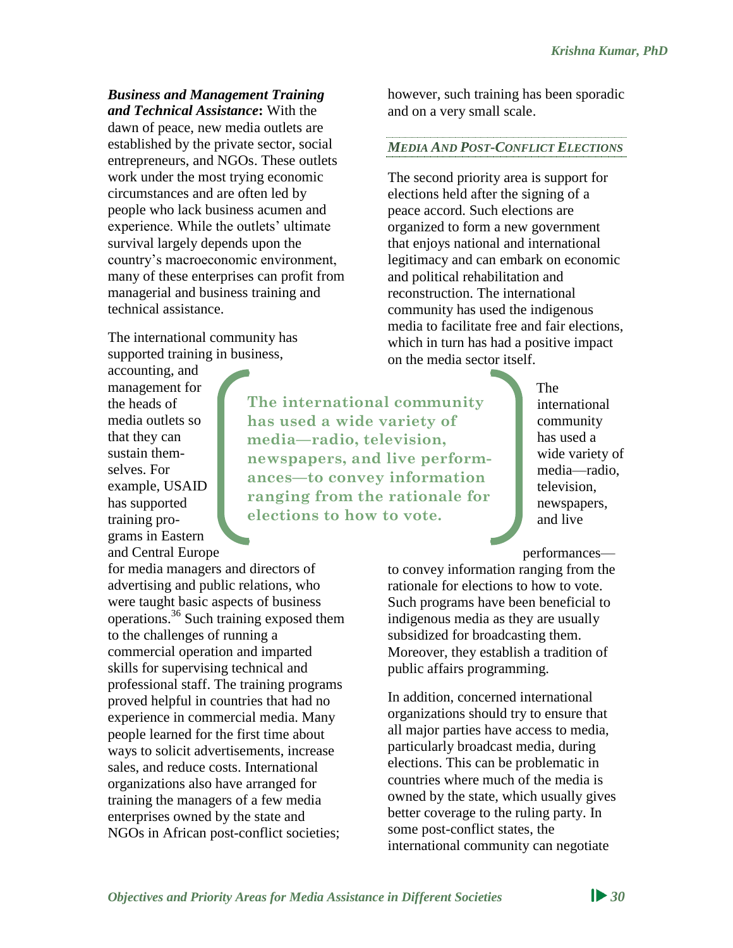## *Business and Management Training*

*and Technical Assistance***:** With the dawn of peace, new media outlets are established by the private sector, social entrepreneurs, and NGOs. These outlets work under the most trying economic circumstances and are often led by people who lack business acumen and experience. While the outlets' ultimate survival largely depends upon the country's macroeconomic environment, many of these enterprises can profit from managerial and business training and technical assistance.

The international community has supported training in business,

accounting, and management for the heads of media outlets so that they can sustain themselves. For example, USAID has supported training programs in Eastern and Central Europe

for media managers and directors of advertising and public relations, who were taught basic aspects of business operations.<sup>36</sup> Such training exposed them to the challenges of running a commercial operation and imparted skills for supervising technical and professional staff. The training programs proved helpful in countries that had no experience in commercial media. Many people learned for the first time about ways to solicit advertisements, increase sales, and reduce costs. International organizations also have arranged for training the managers of a few media enterprises owned by the state and NGOs in African post-conflict societies;

however, such training has been sporadic and on a very small scale.

#### *MEDIA AND POST-CONFLICT ELECTIONS*

The second priority area is support for elections held after the signing of a peace accord. Such elections are organized to form a new government that enjoys national and international legitimacy and can embark on economic and political rehabilitation and reconstruction. The international community has used the indigenous media to facilitate free and fair elections, which in turn has had a positive impact on the media sector itself.

**The international community has used a wide variety of media—radio, television, newspapers, and live performances—to convey information ranging from the rationale for elections to how to vote.**

The international community has used a wide variety of media—radio, television, newspapers, and live

performances—

to convey information ranging from the rationale for elections to how to vote. Such programs have been beneficial to indigenous media as they are usually subsidized for broadcasting them. Moreover, they establish a tradition of public affairs programming.

In addition, concerned international organizations should try to ensure that all major parties have access to media, particularly broadcast media, during elections. This can be problematic in countries where much of the media is owned by the state, which usually gives better coverage to the ruling party. In some post-conflict states, the international community can negotiate

*Objectives and Priority Areas for Media Assistance in Different Societies 30*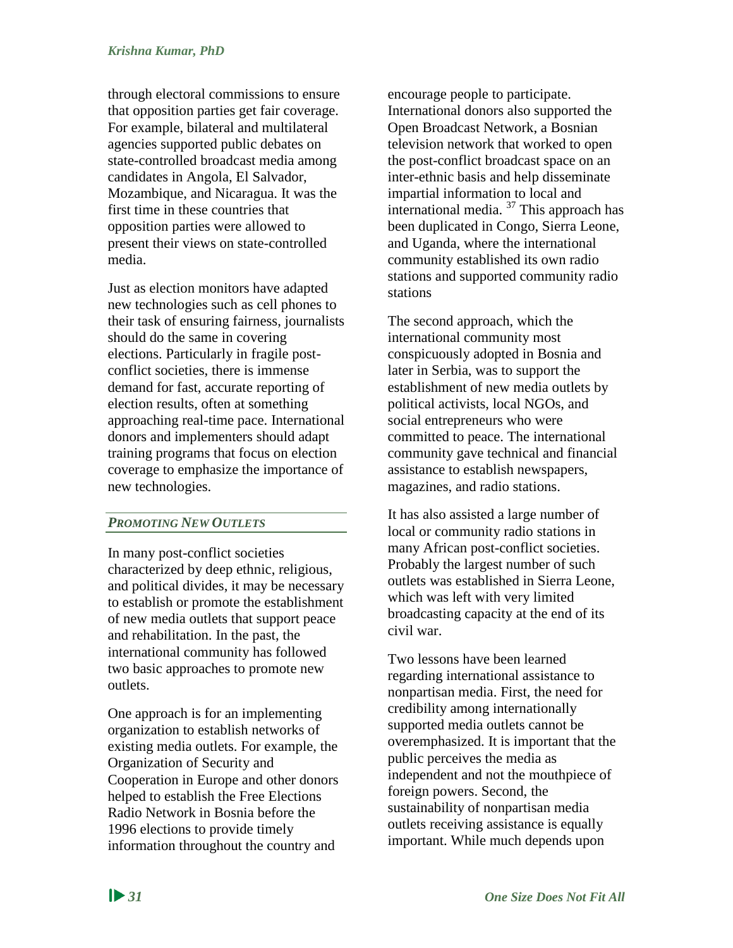through electoral commissions to ensure that opposition parties get fair coverage. For example, bilateral and multilateral agencies supported public debates on state-controlled broadcast media among candidates in Angola, El Salvador, Mozambique, and Nicaragua. It was the first time in these countries that opposition parties were allowed to present their views on state-controlled media.

Just as election monitors have adapted new technologies such as cell phones to their task of ensuring fairness, journalists should do the same in covering elections. Particularly in fragile postconflict societies, there is immense demand for fast, accurate reporting of election results, often at something approaching real-time pace. International donors and implementers should adapt training programs that focus on election coverage to emphasize the importance of new technologies.

## *PROMOTING NEW OUTLETS*

In many post-conflict societies characterized by deep ethnic, religious, and political divides, it may be necessary to establish or promote the establishment of new media outlets that support peace and rehabilitation. In the past, the international community has followed two basic approaches to promote new outlets.

One approach is for an implementing organization to establish networks of existing media outlets. For example, the Organization of Security and Cooperation in Europe and other donors helped to establish the Free Elections Radio Network in Bosnia before the 1996 elections to provide timely information throughout the country and

encourage people to participate. International donors also supported the Open Broadcast Network, a Bosnian television network that worked to open the post-conflict broadcast space on an inter-ethnic basis and help disseminate impartial information to local and international media. <sup>37</sup> This approach has been duplicated in Congo, Sierra Leone, and Uganda, where the international community established its own radio stations and supported community radio stations

The second approach, which the international community most conspicuously adopted in Bosnia and later in Serbia, was to support the establishment of new media outlets by political activists, local NGOs, and social entrepreneurs who were committed to peace. The international community gave technical and financial assistance to establish newspapers, magazines, and radio stations.

It has also assisted a large number of local or community radio stations in many African post-conflict societies. Probably the largest number of such outlets was established in Sierra Leone, which was left with very limited broadcasting capacity at the end of its civil war.

Two lessons have been learned regarding international assistance to nonpartisan media. First, the need for credibility among internationally supported media outlets cannot be overemphasized. It is important that the public perceives the media as independent and not the mouthpiece of foreign powers. Second, the sustainability of nonpartisan media outlets receiving assistance is equally important. While much depends upon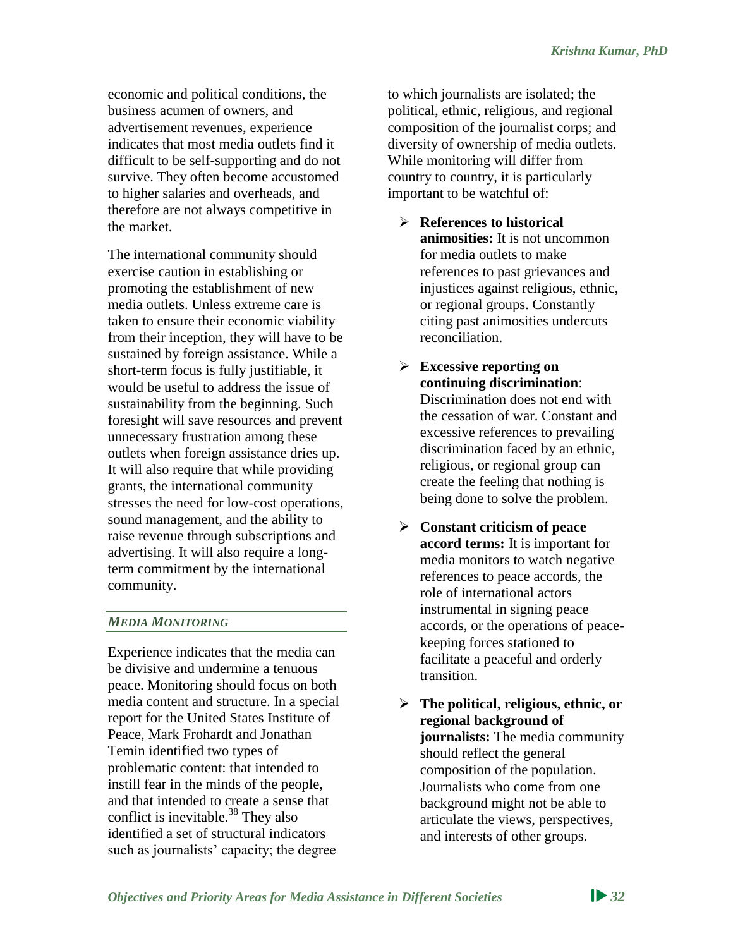economic and political conditions, the business acumen of owners, and advertisement revenues, experience indicates that most media outlets find it difficult to be self-supporting and do not survive. They often become accustomed to higher salaries and overheads, and therefore are not always competitive in the market.

The international community should exercise caution in establishing or promoting the establishment of new media outlets. Unless extreme care is taken to ensure their economic viability from their inception, they will have to be sustained by foreign assistance. While a short-term focus is fully justifiable, it would be useful to address the issue of sustainability from the beginning. Such foresight will save resources and prevent unnecessary frustration among these outlets when foreign assistance dries up. It will also require that while providing grants, the international community stresses the need for low-cost operations, sound management, and the ability to raise revenue through subscriptions and advertising. It will also require a longterm commitment by the international community.

#### *MEDIA MONITORING*

Experience indicates that the media can be divisive and undermine a tenuous peace. Monitoring should focus on both media content and structure. In a special report for the United States Institute of Peace, Mark Frohardt and Jonathan Temin identified two types of problematic content: that intended to instill fear in the minds of the people, and that intended to create a sense that conflict is inevitable.<sup>38</sup> They also identified a set of structural indicators such as journalists' capacity; the degree

to which journalists are isolated; the political, ethnic, religious, and regional composition of the journalist corps; and diversity of ownership of media outlets. While monitoring will differ from country to country, it is particularly important to be watchful of:

- **References to historical animosities:** It is not uncommon for media outlets to make references to past grievances and injustices against religious, ethnic, or regional groups. Constantly citing past animosities undercuts reconciliation.
- **Excessive reporting on continuing discrimination**: Discrimination does not end with the cessation of war. Constant and excessive references to prevailing discrimination faced by an ethnic, religious, or regional group can create the feeling that nothing is being done to solve the problem.
- **Constant criticism of peace accord terms:** It is important for media monitors to watch negative references to peace accords, the role of international actors instrumental in signing peace accords, or the operations of peacekeeping forces stationed to facilitate a peaceful and orderly transition.
- **The political, religious, ethnic, or regional background of journalists:** The media community should reflect the general composition of the population. Journalists who come from one background might not be able to articulate the views, perspectives, and interests of other groups.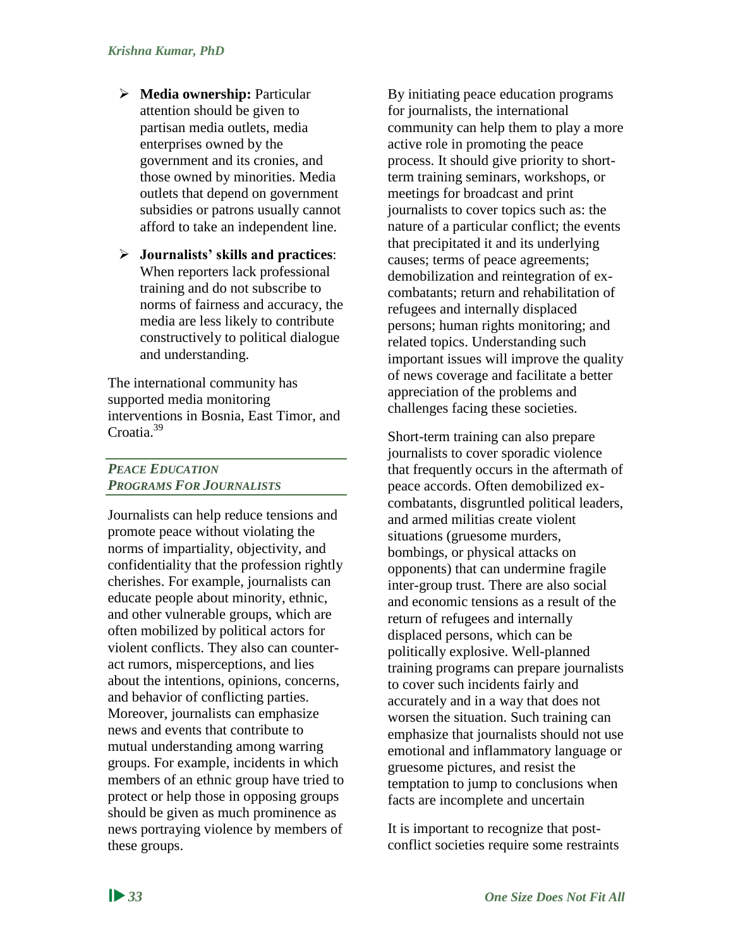- **Media ownership:** Particular attention should be given to partisan media outlets, media enterprises owned by the government and its cronies, and those owned by minorities. Media outlets that depend on government subsidies or patrons usually cannot afford to take an independent line.
- **Journalists' skills and practices**: When reporters lack professional training and do not subscribe to norms of fairness and accuracy, the media are less likely to contribute constructively to political dialogue and understanding.

The international community has supported media monitoring interventions in Bosnia, East Timor, and Croatia<sup>39</sup>

## *PEACE EDUCATION PROGRAMS FOR JOURNALISTS*

Journalists can help reduce tensions and promote peace without violating the norms of impartiality, objectivity, and confidentiality that the profession rightly cherishes. For example, journalists can educate people about minority, ethnic, and other vulnerable groups, which are often mobilized by political actors for violent conflicts. They also can counteract rumors, misperceptions, and lies about the intentions, opinions, concerns, and behavior of conflicting parties. Moreover, journalists can emphasize news and events that contribute to mutual understanding among warring groups. For example, incidents in which members of an ethnic group have tried to protect or help those in opposing groups should be given as much prominence as news portraying violence by members of these groups.

By initiating peace education programs for journalists, the international community can help them to play a more active role in promoting the peace process. It should give priority to shortterm training seminars, workshops, or meetings for broadcast and print journalists to cover topics such as: the nature of a particular conflict; the events that precipitated it and its underlying causes; terms of peace agreements; demobilization and reintegration of excombatants; return and rehabilitation of refugees and internally displaced persons; human rights monitoring; and related topics. Understanding such important issues will improve the quality of news coverage and facilitate a better appreciation of the problems and challenges facing these societies.

Short-term training can also prepare journalists to cover sporadic violence that frequently occurs in the aftermath of peace accords. Often demobilized excombatants, disgruntled political leaders, and armed militias create violent situations (gruesome murders, bombings, or physical attacks on opponents) that can undermine fragile inter-group trust. There are also social and economic tensions as a result of the return of refugees and internally displaced persons, which can be politically explosive. Well-planned training programs can prepare journalists to cover such incidents fairly and accurately and in a way that does not worsen the situation. Such training can emphasize that journalists should not use emotional and inflammatory language or gruesome pictures, and resist the temptation to jump to conclusions when facts are incomplete and uncertain

It is important to recognize that postconflict societies require some restraints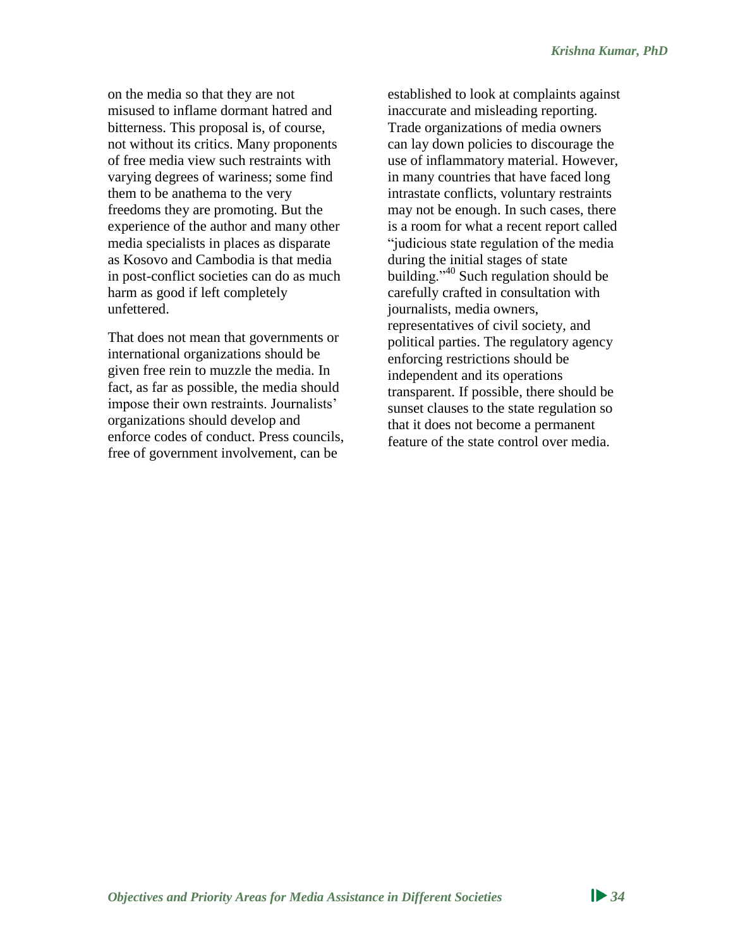on the media so that they are not misused to inflame dormant hatred and bitterness. This proposal is, of course, not without its critics. Many proponents of free media view such restraints with varying degrees of wariness; some find them to be anathema to the very freedoms they are promoting. But the experience of the author and many other media specialists in places as disparate as Kosovo and Cambodia is that media in post-conflict societies can do as much harm as good if left completely unfettered.

That does not mean that governments or international organizations should be given free rein to muzzle the media. In fact, as far as possible, the media should impose their own restraints. Journalists' organizations should develop and enforce codes of conduct. Press councils, free of government involvement, can be

established to look at complaints against inaccurate and misleading reporting. Trade organizations of media owners can lay down policies to discourage the use of inflammatory material. However, in many countries that have faced long intrastate conflicts, voluntary restraints may not be enough. In such cases, there is a room for what a recent report called "judicious state regulation of the media during the initial stages of state building."<sup>40</sup> Such regulation should be carefully crafted in consultation with journalists, media owners, representatives of civil society, and political parties. The regulatory agency enforcing restrictions should be independent and its operations transparent. If possible, there should be sunset clauses to the state regulation so that it does not become a permanent feature of the state control over media.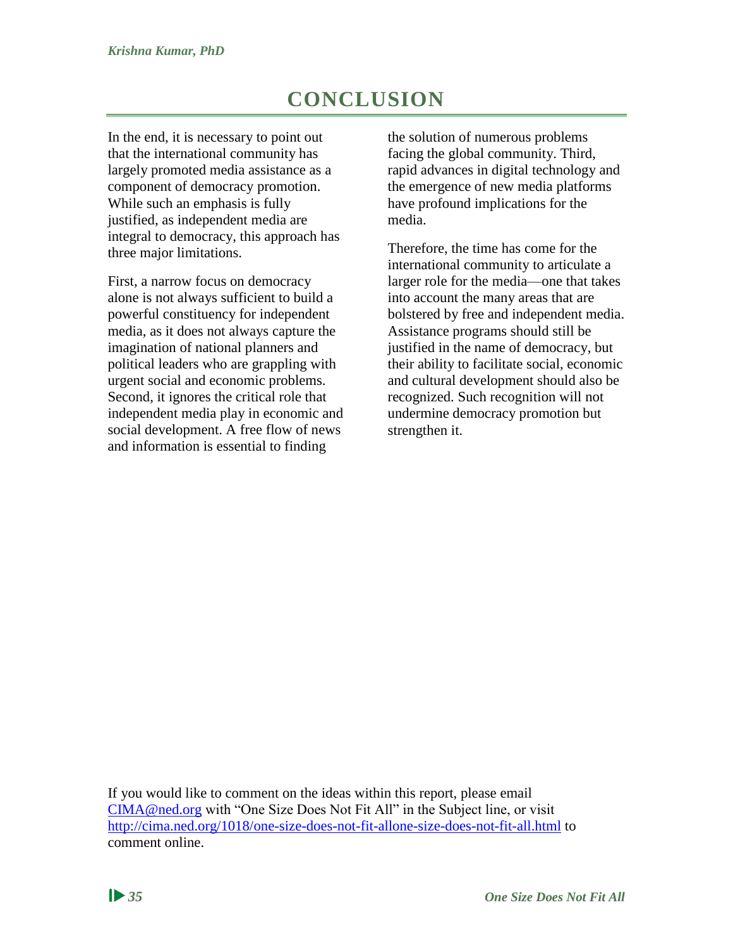# **CONCLUSION**

<span id="page-41-0"></span>In the end, it is necessary to point out that the international community has largely promoted media assistance as a component of democracy promotion. While such an emphasis is fully justified, as independent media are integral to democracy, this approach has three major limitations.

First, a narrow focus on democracy alone is not always sufficient to build a powerful constituency for independent media, as it does not always capture the imagination of national planners and political leaders who are grappling with urgent social and economic problems. Second, it ignores the critical role that independent media play in economic and social development. A free flow of news and information is essential to finding

the solution of numerous problems facing the global community. Third, rapid advances in digital technology and the emergence of new media platforms have profound implications for the media.

Therefore, the time has come for the international community to articulate a larger role for the media—one that takes into account the many areas that are bolstered by free and independent media. Assistance programs should still be justified in the name of democracy, but their ability to facilitate social, economic and cultural development should also be recognized. Such recognition will not undermine democracy promotion but strengthen it.

If you would like to comment on the ideas within this report, please email [CIMA@ned.org](mailto:CIMA@ned.org) with "One Size Does Not Fit All" in the Subject line, or visit <http://cima.ned.org/1018/one-size-does-not-fit-allone-size-does-not-fit-all.html> to comment online.

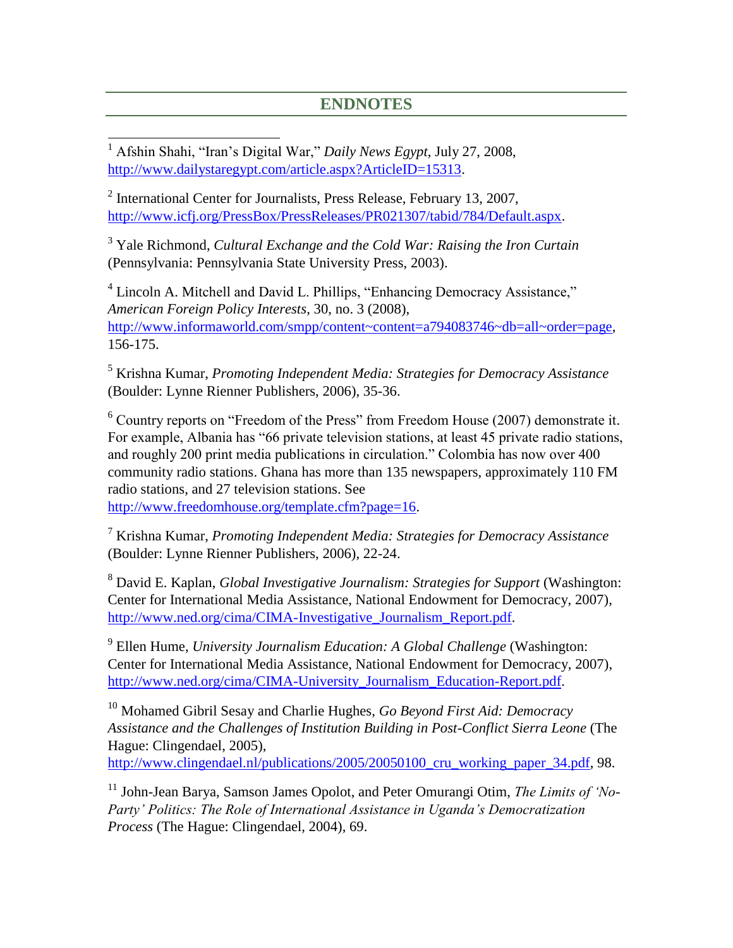## **ENDNOTES**

 <sup>1</sup> Afshin Shahi, "Iran's Digital War," *Daily News Egypt*, July 27, 2008, [http://www.dailystaregypt.com/article.aspx?ArticleID=15313.](http://www.dailystaregypt.com/article.aspx?ArticleID=15313)

<sup>2</sup> International Center for Journalists, Press Release, February 13, 2007, [http://www.icfj.org/PressBox/PressReleases/PR021307/tabid/784/Default.aspx.](http://www.icfj.org/PressBox/PressReleases/PR021307/tabid/784/Default.aspx)

<sup>3</sup> Yale Richmond, *Cultural Exchange and the Cold War: Raising the Iron Curtain* (Pennsylvania: Pennsylvania State University Press, 2003).

<sup>4</sup> Lincoln A. Mitchell and David L. Phillips, "Enhancing Democracy Assistance," *American Foreign Policy Interests*, 30, no. 3 (2008), [http://www.informaworld.com/smpp/content~content=a794083746~db=all~order=page,](http://www.informaworld.com/smpp/content~content=a794083746~db=all~order=page) 156-175.

<sup>5</sup> Krishna Kumar, *Promoting Independent Media: Strategies for Democracy Assistance*  (Boulder: Lynne Rienner Publishers, 2006), 35-36.

<sup>6</sup> Country reports on "Freedom of the Press" from Freedom House (2007) demonstrate it. For example, Albania has "66 private television stations, at least 45 private radio stations, and roughly 200 print media publications in circulation." Colombia has now over 400 community radio stations. Ghana has more than 135 newspapers, approximately 110 FM radio stations, and 27 television stations. See

[http://www.freedomhouse.org/template.cfm?page=16.](http://www.freedomhouse.org/template.cfm?page=16)

<sup>7</sup> Krishna Kumar, *Promoting Independent Media: Strategies for Democracy Assistance*  (Boulder: Lynne Rienner Publishers, 2006), 22-24.

<sup>8</sup> David E. Kaplan, *Global Investigative Journalism: Strategies for Support* (Washington: Center for International Media Assistance, National Endowment for Democracy, 2007), http://www.ned.org/cima/CIMA-Investigative Journalism Report.pdf.

9 Ellen Hume, *University Journalism Education: A Global Challenge* (Washington: Center for International Media Assistance, National Endowment for Democracy, 2007), [http://www.ned.org/cima/CIMA-University\\_Journalism\\_Education-Report.pdf.](http://www.ned.org/cima/CIMA-University_Journalism_Education-Report.pdf)

<sup>10</sup> Mohamed Gibril Sesay and Charlie Hughes, *Go Beyond First Aid: Democracy Assistance and the Challenges of Institution Building in Post-Conflict Sierra Leone* (The Hague: Clingendael, 2005),

http://www.clingendael.nl/publications/2005/20050100 cru working paper 34.pdf, 98.

<sup>11</sup> John-Jean Barya, Samson James Opolot, and Peter Omurangi Otim, *The Limits of 'No-Party' Politics: The Role of International Assistance in Uganda's Democratization Process* (The Hague: Clingendael, 2004), 69.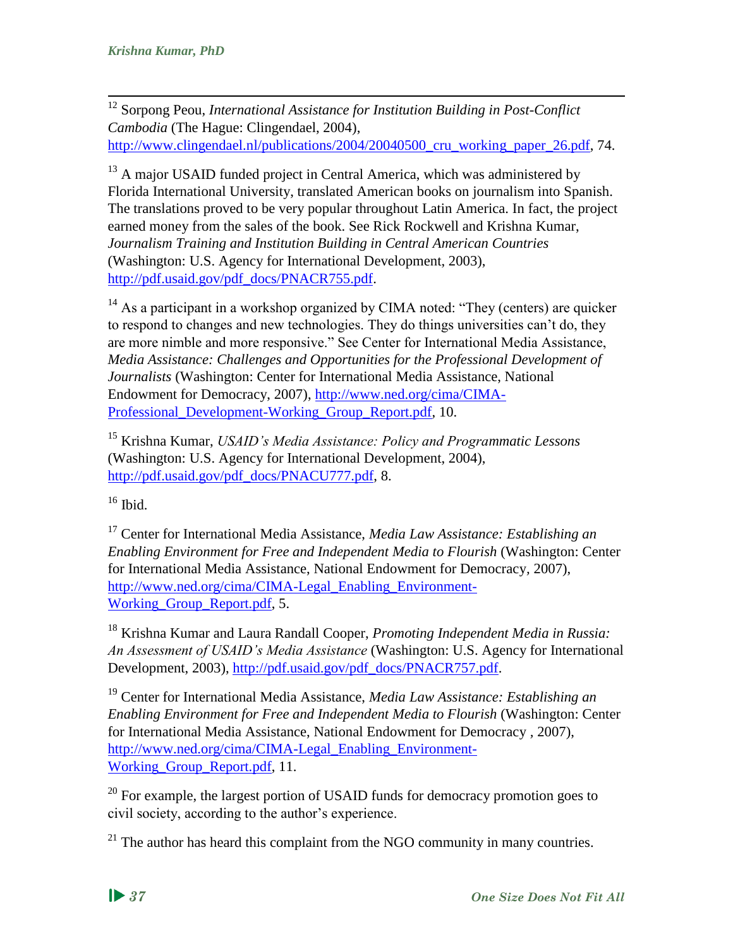<sup>12</sup> Sorpong Peou, *International Assistance for Institution Building in Post-Conflict Cambodia* (The Hague: Clingendael, 2004), http://www.clingendael.nl/publications/2004/20040500 cru working paper 26.pdf, 74.

<sup>13</sup> A major USAID funded project in Central America, which was administered by Florida International University, translated American books on journalism into Spanish. The translations proved to be very popular throughout Latin America. In fact, the project earned money from the sales of the book. See Rick Rockwell and Krishna Kumar, *Journalism Training and Institution Building in Central American Countries* (Washington: U.S. Agency for International Development, 2003), [http://pdf.usaid.gov/pdf\\_docs/PNACR755.pdf.](http://pdf.usaid.gov/pdf_docs/PNACR755.pdf)

<sup>14</sup> As a participant in a workshop organized by CIMA noted: "They (centers) are quicker to respond to changes and new technologies. They do things universities can't do, they are more nimble and more responsive." See Center for International Media Assistance, *Media Assistance: Challenges and Opportunities for the Professional Development of Journalists* (Washington: Center for International Media Assistance, National Endowment for Democracy, 2007), [http://www.ned.org/cima/CIMA-](http://www.ned.org/cima/CIMA-Professional_Development-Working_Group_Report.pdf)Professional Development-Working Group Report.pdf, 10.

<sup>15</sup> Krishna Kumar, *USAID's Media Assistance: Policy and Programmatic Lessons* (Washington: U.S. Agency for International Development, 2004), [http://pdf.usaid.gov/pdf\\_docs/PNACU777.pdf,](http://pdf.usaid.gov/pdf_docs/PNACU777.pdf) 8.

 $16$  Ibid.

<sup>17</sup> Center for International Media Assistance, *Media Law Assistance: Establishing an Enabling Environment for Free and Independent Media to Flourish* (Washington: Center for International Media Assistance, National Endowment for Democracy*,* 2007), [http://www.ned.org/cima/CIMA-Legal\\_Enabling\\_Environment-](http://www.ned.org/cima/CIMA-Legal_Enabling_Environment-Working_Group_Report.pdf)Working Group Report.pdf, 5.

<sup>18</sup> Krishna Kumar and Laura Randall Cooper, *Promoting Independent Media in Russia: An Assessment of USAID's Media Assistance* (Washington: U.S. Agency for International Development, 2003), [http://pdf.usaid.gov/pdf\\_docs/PNACR757.pdf.](http://pdf.usaid.gov/pdf_docs/PNACR757.pdf)

<sup>19</sup> Center for International Media Assistance, *Media Law Assistance: Establishing an Enabling Environment for Free and Independent Media to Flourish* (Washington: Center for International Media Assistance, National Endowment for Democracy *,* 2007), [http://www.ned.org/cima/CIMA-Legal\\_Enabling\\_Environment-](http://www.ned.org/cima/CIMA-Legal_Enabling_Environment-Working_Group_Report.pdf)Working Group Report.pdf, 11.

<sup>20</sup> For example, the largest portion of USAID funds for democracy promotion goes to civil society, according to the author's experience.

 $21$  The author has heard this complaint from the NGO community in many countries.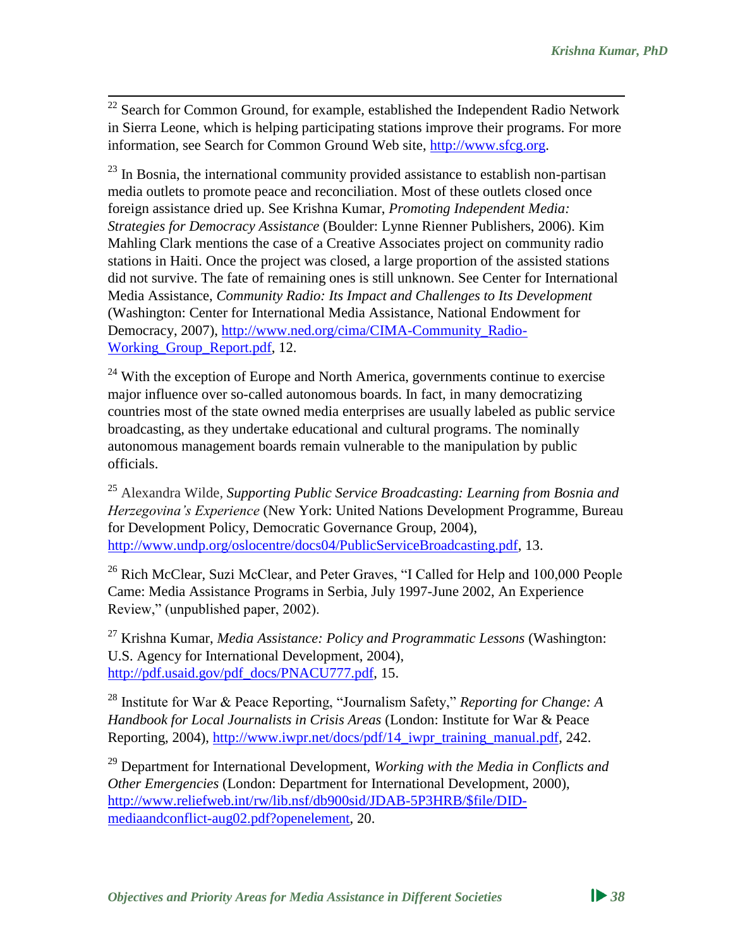$22$  Search for Common Ground, for example, established the Independent Radio Network in Sierra Leone, which is helping participating stations improve their programs. For more information, see Search for Common Ground Web site, [http://www.sfcg.org.](http://www.sfcg.org/)

 $^{23}$  In Bosnia, the international community provided assistance to establish non-partisan media outlets to promote peace and reconciliation. Most of these outlets closed once foreign assistance dried up. See Krishna Kumar, *Promoting Independent Media: Strategies for Democracy Assistance* (Boulder: Lynne Rienner Publishers, 2006). Kim Mahling Clark mentions the case of a Creative Associates project on community radio stations in Haiti. Once the project was closed, a large proportion of the assisted stations did not survive. The fate of remaining ones is still unknown. See Center for International Media Assistance, *Community Radio: Its Impact and Challenges to Its Development*  (Washington: Center for International Media Assistance, National Endowment for Democracy, 2007), [http://www.ned.org/cima/CIMA-Community\\_Radio-](http://www.ned.org/cima/CIMA-Community_Radio-Working_Group_Report.pdf)[Working\\_Group\\_Report.pdf,](http://www.ned.org/cima/CIMA-Community_Radio-Working_Group_Report.pdf) 12.

<sup>24</sup> With the exception of Europe and North America, governments continue to exercise major influence over so-called autonomous boards. In fact, in many democratizing countries most of the state owned media enterprises are usually labeled as public service broadcasting, as they undertake educational and cultural programs. The nominally autonomous management boards remain vulnerable to the manipulation by public officials.

<sup>25</sup> Alexandra Wilde*, Supporting Public Service Broadcasting: Learning from Bosnia and Herzegovina's Experience* (New York: United Nations Development Programme, Bureau for Development Policy, Democratic Governance Group, 2004), [http://www.undp.org/oslocentre/docs04/PublicServiceBroadcasting.pdf,](http://www.undp.org/oslocentre/docs04/PublicServiceBroadcasting.pdf) 13.

<sup>26</sup> Rich McClear, Suzi McClear, and Peter Graves, "I Called for Help and 100,000 People Came: Media Assistance Programs in Serbia, July 1997-June 2002, An Experience Review," (unpublished paper, 2002).

<sup>27</sup> Krishna Kumar, *Media Assistance: Policy and Programmatic Lessons* (Washington: U.S. Agency for International Development, 2004), [http://pdf.usaid.gov/pdf\\_docs/PNACU777.pdf,](http://pdf.usaid.gov/pdf_docs/PNACU777.pdf) 15.

<sup>28</sup> Institute for War & Peace Reporting, "Journalism Safety," *Reporting for Change: A Handbook for Local Journalists in Crisis Areas* (London: Institute for War & Peace Reporting, 2004), [http://www.iwpr.net/docs/pdf/14\\_iwpr\\_training\\_manual.pdf,](http://www.iwpr.net/docs/pdf/14_iwpr_training_manual.pdf) 242.

<sup>29</sup> Department for International Development, *Working with the Media in Conflicts and Other Emergencies* (London: Department for International Development, 2000), [http://www.reliefweb.int/rw/lib.nsf/db900sid/JDAB-5P3HRB/\\$file/DID](http://www.reliefweb.int/rw/lib.nsf/db900sid/JDAB-5P3HRB/$file/DID-mediaandconflict-aug02.pdf?openelement)[mediaandconflict-aug02.pdf?openelement,](http://www.reliefweb.int/rw/lib.nsf/db900sid/JDAB-5P3HRB/$file/DID-mediaandconflict-aug02.pdf?openelement) 20.